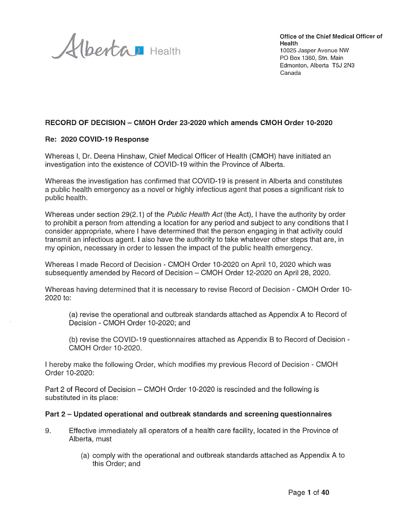Albertan Health

Office of the Chief Medical Officer of Health 10025 Jasper Avenue NW PO Box 1360, Stn. Main Edmonton, Alberta T5J 2N3 Canada

#### RECORD OF DECISION - CMOH Order 23-2020 which amends CMOH Order 10-2020

#### Re: 2020 COVID-19 Response

Whereas I, Dr. Deena Hinshaw, Chief Medical Officer of Health (CMOH) have initiated an investigation into the existence of COVID-19 within the Province of Alberta.

Whereas the investigation has confirmed that COVID-19 is present in Alberta and constitutes a public health emergency as a novel or highly infectious agent that poses a significant risk to public health.

Whereas under section 29(2.1) of the *Public Health Act* (the Act), I have the authority by order to prohibit a person from attending a location for any period and subject to any conditions that I consider appropriate, where I have determined that the person engaging in that activity could transmit an infectious agent. I also have the authority to take whatever other steps that are, in my opinion, necessary in order to lessen the impact of the public health emergency.

Whereas I made Record of Decision - CMOH Order 10-2020 on April 10, 2020 which was subsequently amended by Record of Decision - CMOH Order 12-2020 on April 28, 2020.

Whereas having determined that it is necessary to revise Record of Decision - CMOH Order 10-2020 to:

(a) revise the operational and outbreak standards attached as Appendix A to Record of Decision - CMOH Order 10-2020; and

(b) revise the COVID-19 questionnaires attached as Appendix B to Record of Decision -CMOH Order 10-2020.

I hereby make the following Order, which modifies my previous Record of Decision - CMOH Order 10-2020:

Part 2 of Record of Decision – CMOH Order 10-2020 is rescinded and the following is substituted in its place:

#### Part 2 – Updated operational and outbreak standards and screening questionnaires

- 9. Effective immediately all operators of a health care facility, located in the Province of Alberta, must
	- (a) comply with the operational and outbreak standards attached as Appendix A to this Order: and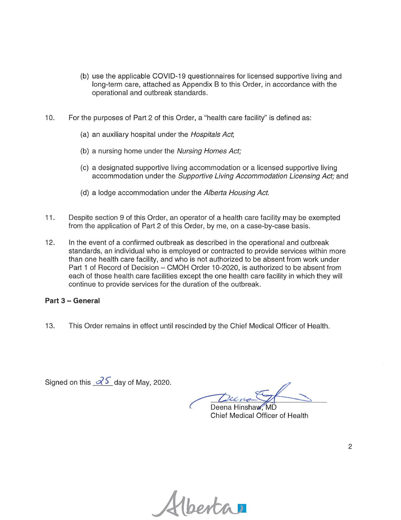- (b) use the applicable COVID-19 questionnaires for licensed supportive living and long-term care, attached as Appendix B to this Order, in accordance with the operational and outbreak standards.
- $10.$ For the purposes of Part 2 of this Order, a "health care facility" is defined as:
	- (a) an auxiliary hospital under the Hospitals Act,
	- (b) a nursing home under the Nursing Homes Act:
	- (c) a designated supportive living accommodation or a licensed supportive living accommodation under the Supportive Living Accommodation Licensing Act; and
	- (d) a lodge accommodation under the Alberta Housing Act.
- $11.$ Despite section 9 of this Order, an operator of a health care facility may be exempted from the application of Part 2 of this Order, by me, on a case-by-case basis.
- $12.$ In the event of a confirmed outbreak as described in the operational and outbreak standards, an individual who is employed or contracted to provide services within more than one health care facility, and who is not authorized to be absent from work under Part 1 of Record of Decision - CMOH Order 10-2020, is authorized to be absent from each of those health care facilities except the one health care facility in which they will continue to provide services for the duration of the outbreak.

#### Part 3 - General

13. This Order remains in effect until rescinded by the Chief Medical Officer of Health.

Signed on this  $\partial \overline{\delta}$  day of May, 2020.

Deena Hinshay

Chief Medical Officer of Health

1 berta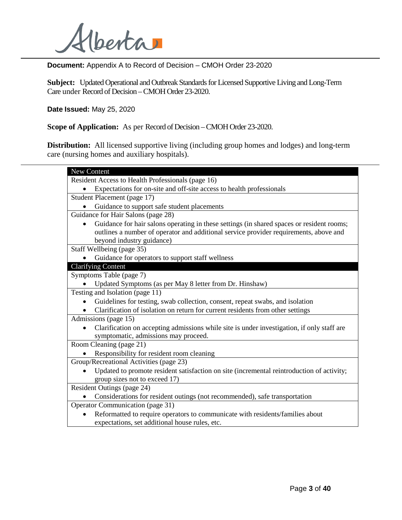

**Document:** Appendix A to Record of Decision – CMOH Order 23-2020

**Subject:** Updated Operational and Outbreak Standards for Licensed Supportive Living and Long-Term Care under Record of Decision –CMOH Order 23-2020.

**Date Issued:** May 25, 2020

**Scope of Application:** As per Record of Decision –CMOH Order 23-2020.

**Distribution:** All licensed supportive living (including group homes and lodges) and long-term care (nursing homes and auxiliary hospitals).

| New Content                                                                                            |
|--------------------------------------------------------------------------------------------------------|
| Resident Access to Health Professionals (page 16)                                                      |
| Expectations for on-site and off-site access to health professionals                                   |
| Student Placement (page 17)                                                                            |
| Guidance to support safe student placements                                                            |
| Guidance for Hair Salons (page 28)                                                                     |
| Guidance for hair salons operating in these settings (in shared spaces or resident rooms;<br>$\bullet$ |
| outlines a number of operator and additional service provider requirements, above and                  |
| beyond industry guidance)                                                                              |
| Staff Wellbeing (page 35)                                                                              |
| Guidance for operators to support staff wellness                                                       |
| <b>Clarifying Content</b>                                                                              |
| Symptoms Table (page 7)                                                                                |
| Updated Symptoms (as per May 8 letter from Dr. Hinshaw)                                                |
| Testing and Isolation (page 11)                                                                        |
| Guidelines for testing, swab collection, consent, repeat swabs, and isolation                          |
| Clarification of isolation on return for current residents from other settings                         |
| Admissions (page 15)                                                                                   |
| Clarification on accepting admissions while site is under investigation, if only staff are             |
| symptomatic, admissions may proceed.                                                                   |
| Room Cleaning (page 21)                                                                                |
| Responsibility for resident room cleaning                                                              |
| Group/Recreational Activities (page 23)                                                                |
| Updated to promote resident satisfaction on site (incremental reintroduction of activity;              |
| group sizes not to exceed 17)                                                                          |
| Resident Outings (page 24)                                                                             |
| Considerations for resident outings (not recommended), safe transportation                             |
| <b>Operator Communication (page 31)</b>                                                                |
| Reformatted to require operators to communicate with residents/families about                          |
| expectations, set additional house rules, etc.                                                         |
|                                                                                                        |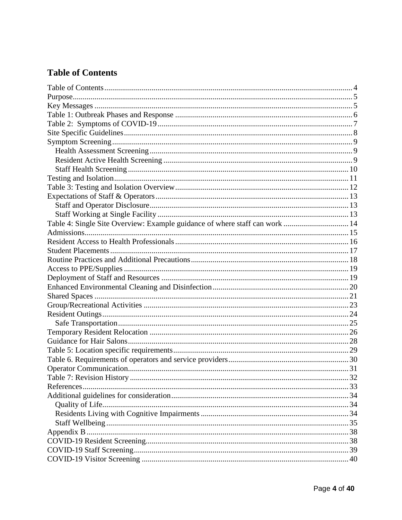# <span id="page-3-0"></span>**Table of Contents**

| Table 4: Single Site Overview: Example guidance of where staff can work  14 |  |
|-----------------------------------------------------------------------------|--|
|                                                                             |  |
|                                                                             |  |
|                                                                             |  |
|                                                                             |  |
|                                                                             |  |
|                                                                             |  |
|                                                                             |  |
|                                                                             |  |
|                                                                             |  |
|                                                                             |  |
|                                                                             |  |
|                                                                             |  |
|                                                                             |  |
|                                                                             |  |
|                                                                             |  |
|                                                                             |  |
|                                                                             |  |
|                                                                             |  |
|                                                                             |  |
|                                                                             |  |
|                                                                             |  |
|                                                                             |  |
|                                                                             |  |
|                                                                             |  |
|                                                                             |  |
|                                                                             |  |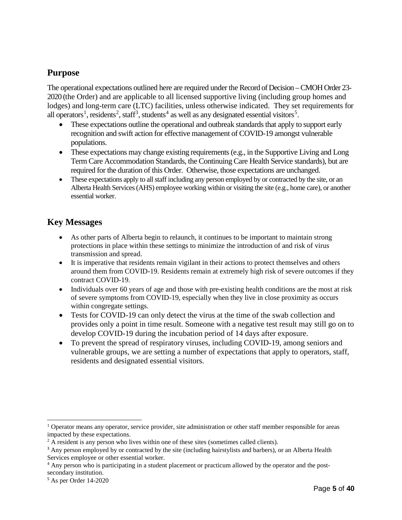### <span id="page-4-0"></span>**Purpose**

The operational expectations outlined here are required under the Record of Decision –CMOH Order 23- 2020 (the Order) and are applicable to all licensed supportive living (including group homes and lodges) and long-term care (LTC) facilities, unless otherwise indicated. They set requirements for all operators<sup>[1](#page-4-2)</sup>, residents<sup>[2](#page-4-3)</sup>, staff<sup>[3](#page-4-4)</sup>, students<sup>[4](#page-4-5)</sup> as well as any designated essential visitors<sup>[5](#page-4-6)</sup>.

- These expectations outline the operational and outbreak standards that apply to support early recognition and swift action for effective management of COVID-19 amongst vulnerable populations.
- These expectations may change existing requirements (e.g., in the Supportive Living and Long Term Care Accommodation Standards, the Continuing Care Health Service standards), but are required for the duration of this Order. Otherwise, those expectations are unchanged.
- These expectations apply to all staff including any person employed by or contracted by the site, or an Alberta Health Services (AHS) employee working within or visiting the site (e.g., home care), or another essential worker.

### <span id="page-4-1"></span>**Key Messages**

- As other parts of Alberta begin to relaunch, it continues to be important to maintain strong protections in place within these settings to minimize the introduction of and risk of virus transmission and spread.
- It is imperative that residents remain vigilant in their actions to protect themselves and others around them from COVID-19. Residents remain at extremely high risk of severe outcomes if they contract COVID-19.
- Individuals over 60 years of age and those with pre-existing health conditions are the most at risk of severe symptoms from COVID-19, especially when they live in close proximity as occurs within congregate settings.
- Tests for COVID-19 can only detect the virus at the time of the swab collection and provides only a point in time result. Someone with a negative test result may still go on to develop COVID-19 during the incubation period of 14 days after exposure.
- To prevent the spread of respiratory viruses, including COVID-19, among seniors and vulnerable groups, we are setting a number of expectations that apply to operators, staff, residents and designated essential visitors.

 $\ddot{\phantom{a}}$ 

<span id="page-4-2"></span> $1$  Operator means any operator, service provider, site administration or other staff member responsible for areas impacted by these expectations.

<span id="page-4-3"></span><sup>&</sup>lt;sup>2</sup> A resident is any person who lives within one of these sites (sometimes called clients).

<span id="page-4-4"></span><sup>&</sup>lt;sup>3</sup> Any person employed by or contracted by the site (including hairstylists and barbers), or an Alberta Health Services employee or other essential worker.

<span id="page-4-5"></span><sup>&</sup>lt;sup>4</sup> Any person who is participating in a student placement or practicum allowed by the operator and the postsecondary institution.

<span id="page-4-6"></span><sup>5</sup> As per Order 14-2020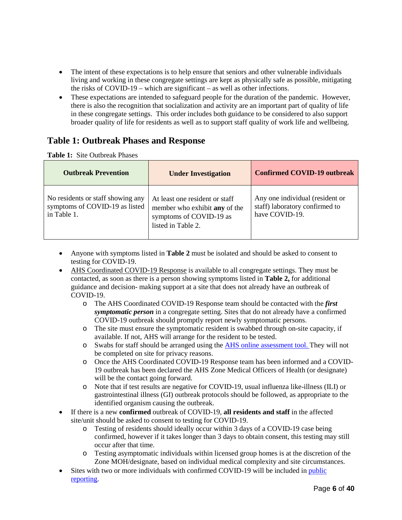- The intent of these expectations is to help ensure that seniors and other vulnerable individuals living and working in these congregate settings are kept as physically safe as possible, mitigating the risks of COVID-19 – which are significant – as well as other infections.
- These expectations are intended to safeguard people for the duration of the pandemic. However, there is also the recognition that socialization and activity are an important part of quality of life in these congregate settings. This order includes both guidance to be considered to also support broader quality of life for residents as well as to support staff quality of work life and wellbeing.

### <span id="page-5-0"></span>**Table 1: Outbreak Phases and Response**

**Table 1:** Site Outbreak Phases

| <b>Outbreak Prevention</b>                                                         | <b>Under Investigation</b>                                                                                       | <b>Confirmed COVID-19 outbreak</b>                                                  |
|------------------------------------------------------------------------------------|------------------------------------------------------------------------------------------------------------------|-------------------------------------------------------------------------------------|
| No residents or staff showing any<br>symptoms of COVID-19 as listed<br>in Table 1. | At least one resident or staff<br>member who exhibit any of the<br>symptoms of COVID-19 as<br>listed in Table 2. | Any one individual (resident or<br>staff) laboratory confirmed to<br>have COVID-19. |

- Anyone with symptoms listed in **Table 2** must be isolated and should be asked to consent to testing for COVID-19.
- [AHS Coordinated COVID-19 Response](https://www.albertahealthservices.ca/topics/Page16947.aspx) is available to all congregate settings. They must be contacted, as soon as there is a person showing symptoms listed in **Table 2,** for additional guidance and decision- making support at a site that does not already have an outbreak of COVID-19.
	- o The AHS Coordinated COVID-19 Response team should be contacted with the *first symptomatic person* in a congregate setting. Sites that do not already have a confirmed COVID-19 outbreak should promptly report newly symptomatic persons.
	- o The site must ensure the symptomatic resident is swabbed through on-site capacity, if available. If not, AHS will arrange for the resident to be tested.
	- o Swabs for staff should be arranged using the [AHS online assessment tool.](https://myhealth.alberta.ca/Journey/COVID-19/Pages/HWAssessLanding.aspx) They will not be completed on site for privacy reasons.
	- o Once the AHS Coordinated COVID-19 Response team has been informed and a COVID-19 outbreak has been declared the AHS Zone Medical Officers of Health (or designate) will be the contact going forward.
	- o Note that if test results are negative for COVID-19, usual influenza like-illness (ILI) or gastrointestinal illness (GI) outbreak protocols should be followed, as appropriate to the identified organism causing the outbreak.
- If there is a new **confirmed** outbreak of COVID-19, **all residents and staff** in the affected site/unit should be asked to consent to testing for COVID-19.
	- o Testing of residents should ideally occur within 3 days of a COVID-19 case being confirmed, however if it takes longer than 3 days to obtain consent, this testing may still occur after that time.
	- o Testing asymptomatic individuals within licensed group homes is at the discretion of the Zone MOH/designate, based on individual medical complexity and site circumstances.
- Sites with two or more individuals with confirmed COVID-19 will be included in public [reporting.](https://www.alberta.ca/covid-19-alberta-data.aspx#p25721s5)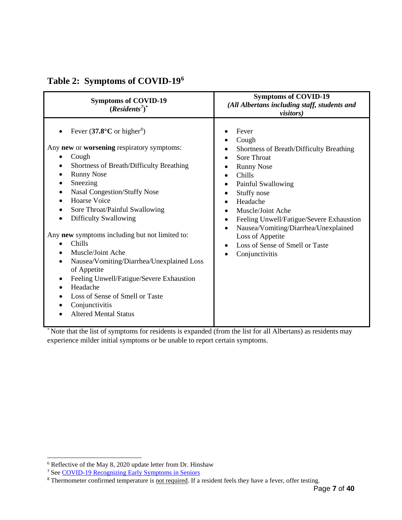| <b>Symptoms of COVID-19</b><br>$(Residents7)*$                                                                                                                                                                                                                                                                                                                                                                                                                                                                                                                                                                        | <b>Symptoms of COVID-19</b><br>(All Albertans including staff, students and<br><i>visitors</i> )                                                                                                                                                                                                                                                                     |
|-----------------------------------------------------------------------------------------------------------------------------------------------------------------------------------------------------------------------------------------------------------------------------------------------------------------------------------------------------------------------------------------------------------------------------------------------------------------------------------------------------------------------------------------------------------------------------------------------------------------------|----------------------------------------------------------------------------------------------------------------------------------------------------------------------------------------------------------------------------------------------------------------------------------------------------------------------------------------------------------------------|
| Fever $(37.8^{\circ}C \text{ or higher}^8)$<br>Any <b>new</b> or <b>worsening</b> respiratory symptoms:<br>Cough<br>Shortness of Breath/Difficulty Breathing<br>٠<br><b>Runny Nose</b><br>Sneezing<br>Nasal Congestion/Stuffy Nose<br><b>Hoarse Voice</b><br>Sore Throat/Painful Swallowing<br><b>Difficulty Swallowing</b><br>Any new symptoms including but not limited to:<br>Chills<br>Muscle/Joint Ache<br>Nausea/Vomiting/Diarrhea/Unexplained Loss<br>of Appetite<br>Feeling Unwell/Fatigue/Severe Exhaustion<br>Headache<br>Loss of Sense of Smell or Taste<br>Conjunctivitis<br><b>Altered Mental Status</b> | Fever<br>Cough<br>Shortness of Breath/Difficulty Breathing<br><b>Sore Throat</b><br><b>Runny Nose</b><br>Chills<br>Painful Swallowing<br>Stuffy nose<br>Headache<br>Muscle/Joint Ache<br>Feeling Unwell/Fatigue/Severe Exhaustion<br>٠<br>Nausea/Vomiting/Diarrhea/Unexplained<br>$\bullet$<br>Loss of Appetite<br>Loss of Sense of Smell or Taste<br>Conjunctivitis |

# <span id="page-6-0"></span>**Table 2: Symptoms of COVID-19[6](#page-6-1)**

\* Note that the list of symptoms for residents is expanded (from the list for all Albertans) as residents may experience milder initial symptoms or be unable to report certain symptoms.

 $\overline{a}$ <sup>6</sup> Reflective of the May 8, 2020 update letter from Dr. Hinshaw

<span id="page-6-2"></span><span id="page-6-1"></span><sup>7</sup> See [COVID-19 Recognizing Early Symptoms in Seniors](https://www.albertahealthservices.ca/assets/info/ppih/if-ppih-covid-19-recognizing-early-symptoms-in-seniors.pdf)

<span id="page-6-3"></span><sup>&</sup>lt;sup>8</sup> Thermometer confirmed temperature is <u>not required</u>. If a resident feels they have a fever, offer testing.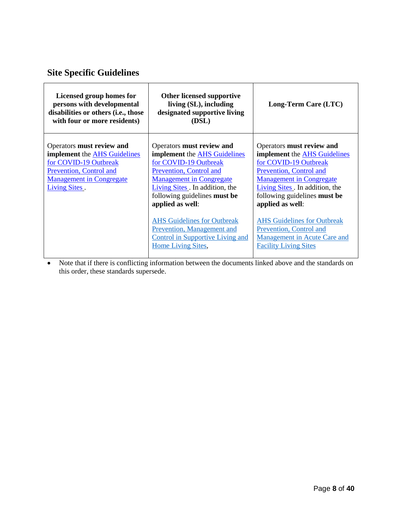# <span id="page-7-0"></span>**Site Specific Guidelines**

| Licensed group homes for<br>persons with developmental<br>disabilities or others (i.e., those<br>with four or more residents)                                                          | Other licensed supportive<br>living (SL), including<br>designated supportive living<br>(DSL)                                                                                                                                                                                                                                                                                                     | Long-Term Care (LTC)                                                                                                                                                                                                                                                                                                                                                                         |
|----------------------------------------------------------------------------------------------------------------------------------------------------------------------------------------|--------------------------------------------------------------------------------------------------------------------------------------------------------------------------------------------------------------------------------------------------------------------------------------------------------------------------------------------------------------------------------------------------|----------------------------------------------------------------------------------------------------------------------------------------------------------------------------------------------------------------------------------------------------------------------------------------------------------------------------------------------------------------------------------------------|
| Operators must review and<br><b>implement</b> the <b>AHS</b> Guidelines<br>for COVID-19 Outbreak<br>Prevention, Control and<br><b>Management in Congregate</b><br><b>Living Sites.</b> | Operators must review and<br><b>implement</b> the <b>AHS</b> Guidelines<br>for COVID-19 Outbreak<br>Prevention, Control and<br><b>Management in Congregate</b><br>Living Sites. In addition, the<br>following guidelines <b>must be</b><br>applied as well:<br><b>AHS Guidelines for Outbreak</b><br>Prevention, Management and<br><b>Control in Supportive Living and</b><br>Home Living Sites, | Operators must review and<br><b>implement</b> the <b>AHS</b> Guidelines<br>for COVID-19 Outbreak<br>Prevention, Control and<br><b>Management in Congregate</b><br>Living Sites. In addition, the<br>following guidelines <b>must be</b><br>applied as well:<br><b>AHS</b> Guidelines for Outbreak<br>Prevention, Control and<br>Management in Acute Care and<br><b>Facility Living Sites</b> |

<span id="page-7-1"></span>• Note that if there is conflicting information between the documents linked above and the standards on this order, these standards supersede.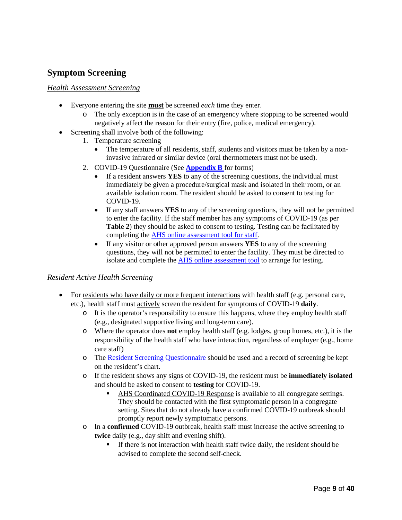### <span id="page-8-0"></span>**Symptom Screening**

#### <span id="page-8-1"></span>*Health Assessment Screening*

- Everyone entering the site **must** be screened *each* time they enter.
	- o The only exception is in the case of an emergency where stopping to be screened would negatively affect the reason for their entry (fire, police, medical emergency).
- Screening shall involve both of the following:
	- 1. Temperature screening
		- The temperature of all residents, staff, students and visitors must be taken by a noninvasive infrared or similar device (oral thermometers must not be used).
	- 2. COVID-19 Questionnaire (See **[Appendix B](#page-36-0)** for forms)
		- If a resident answers **YES** to any of the screening questions, the individual must immediately be given a procedure/surgical mask and isolated in their room, or an available isolation room. The resident should be asked to consent to testing for COVID-19.
		- If any staff answers **YES** to any of the screening questions, they will not be permitted to enter the facility. If the staff member has any symptoms of COVID-19 (as per **Table 2**) they should be asked to consent to testing. Testing can be facilitated by completing the [AHS online assessment tool](https://myhealth.alberta.ca/Journey/COVID-19/Pages/HWAssessLanding.aspx) for staff.
		- If any visitor or other approved person answers **YES** to any of the screening questions, they will not be permitted to enter the facility. They must be directed to isolate and complete the **AHS** online assessment tool to arrange for testing.

#### <span id="page-8-2"></span>*Resident Active Health Screening*

- For residents who have daily or more frequent interactions with health staff (e.g. personal care, etc.), health staff must actively screen the resident for symptoms of [COVID-19](https://myhealth.alberta.ca/Journey/COVID-19/Pages/COVID-Self-Assessment.aspx) **daily**.
	- o It is the operator's responsibility to ensure this happens, where they employ health staff (e.g., designated supportive living and long-term care).
	- o Where the operator does **not** employ health staff (e.g. lodges, group homes, etc.), it is the responsibility of the health staff who have interaction, regardless of employer (e.g., home care staff)
	- o The [Resident Screening Questionnaire](#page-37-1) should be used and a record of screening be kept on the resident's chart.
	- o If the resident shows any signs of COVID-19, the resident must be **immediately isolated**  and should be asked to consent to **testing** for COVID-19.
		- [AHS Coordinated COVID-19 Response](https://www.albertahealthservices.ca/topics/Page16947.aspx) is available to all congregate settings. They should be contacted with the first symptomatic person in a congregate setting. Sites that do not already have a confirmed COVID-19 outbreak should promptly report newly symptomatic persons.
	- o In a **confirmed** COVID-19 outbreak, health staff must increase the active screening to **twice** daily (e.g., day shift and evening shift).
		- If there is not interaction with health staff twice daily, the resident should be advised to complete the second self-check.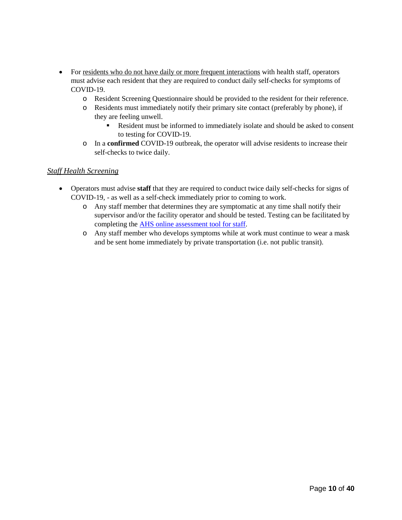- For residents who do not have daily or more frequent interactions with health staff, operators must advise each resident that they are required to conduct daily self-checks for symptoms of [COVID-19.](https://myhealth.alberta.ca/Journey/COVID-19/Pages/COVID-Self-Assessment.aspx)
	- o Resident Screening Questionnaire should be provided to the resident for their reference.
	- o Residents must immediately notify their primary site contact (preferably by phone), if they are feeling unwell.
		- Resident must be informed to immediately isolate and should be asked to consent to testing for COVID-19.
	- o In a **confirmed** COVID-19 outbreak, the operator will advise residents to increase their self-checks to twice daily.

#### <span id="page-9-0"></span>*Staff Health Screening*

- <span id="page-9-2"></span><span id="page-9-1"></span>• Operators must advise **staff** that they are required to conduct twice daily self-checks for signs of COVID-19, - as well as a self-check immediately prior to coming to work.
	- o Any staff member that determines they are symptomatic at any time shall notify their supervisor and/or the facility operator and should be tested. Testing can be facilitated by completing the [AHS online assessment tool](https://myhealth.alberta.ca/Journey/COVID-19/Pages/HWAssessLanding.aspx) for staff.
	- o Any staff member who develops symptoms while at work must continue to wear a mask and be sent home immediately by private transportation (i.e. not public transit).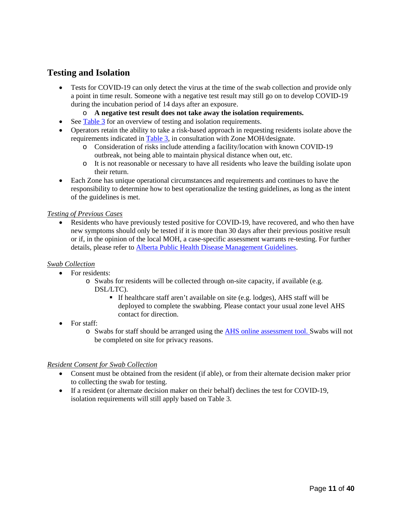#### <span id="page-10-0"></span>**Testing and Isolation**

- Tests for COVID-19 can only detect the virus at the time of the swab collection and provide only a point in time result. Someone with a negative test result may still go on to develop COVID-19 during the incubation period of 14 days after an exposure.
	- o **A negative test result does not take away the isolation requirements.**
- See [Table 3](#page-10-1) for an overview of testing and isolation requirements.
- Operators retain the ability to take a risk-based approach in requesting residents isolate above the requirements indicated in [Table 3,](#page-10-1) in consultation with Zone MOH/designate.
	- o Consideration of risks include attending a facility/location with known COVID-19 outbreak, not being able to maintain physical distance when out, etc.
	- o It is not reasonable or necessary to have all residents who leave the building isolate upon their return.
- Each Zone has unique operational circumstances and requirements and continues to have the responsibility to determine how to best operationalize the testing guidelines, as long as the intent of the guidelines is met.

#### *Testing of Previous Cases*

• Residents who have previously tested positive for COVID-19, have recovered, and who then have new symptoms should only be tested if it is more than 30 days after their previous positive result or if, in the opinion of the local MOH, a case-specific assessment warrants re-testing. For further details, please refer to [Alberta Public Health Disease Management Guidelines.](https://open.alberta.ca/publications/coronavirus-covid-19)

#### *Swab Collection*

- For residents:
	- o Swabs for residents will be collected through on-site capacity, if available (e.g. DSL/LTC).
		- If healthcare staff aren't available on site (e.g. lodges), AHS staff will be deployed to complete the swabbing. Please contact your usual zone level AHS contact for direction.
- For staff:
	- o Swabs for staff should be arranged using the [AHS online assessment tool.](https://myhealth.alberta.ca/Journey/COVID-19/Pages/HWAssessLanding.aspx) Swabs will not be completed on site for privacy reasons.

#### *Resident Consent for Swab Collection*

- Consent must be obtained from the resident (if able), or from their alternate decision maker prior to collecting the swab for testing.
- <span id="page-10-1"></span>• If a resident (or alternate decision maker on their behalf) declines the test for COVID-19, isolation requirements will still apply based on Table 3.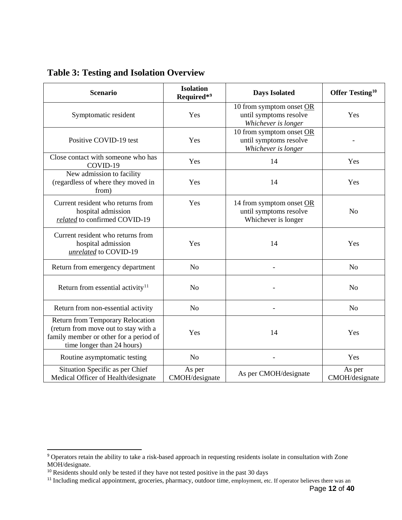| <b>Scenario</b>                                                                                                                                         | <b>Isolation</b><br>Required*9 | <b>Days Isolated</b>                                                      | Offer Testing <sup>10</sup> |
|---------------------------------------------------------------------------------------------------------------------------------------------------------|--------------------------------|---------------------------------------------------------------------------|-----------------------------|
| Symptomatic resident                                                                                                                                    | Yes                            | 10 from symptom onset OR<br>until symptoms resolve<br>Whichever is longer | Yes                         |
| Positive COVID-19 test                                                                                                                                  | Yes                            | 10 from symptom onset OR<br>until symptoms resolve<br>Whichever is longer |                             |
| Close contact with someone who has<br>COVID-19                                                                                                          | Yes                            | 14                                                                        | Yes                         |
| New admission to facility<br>(regardless of where they moved in<br>from)                                                                                | Yes                            | 14                                                                        | Yes                         |
| Current resident who returns from<br>hospital admission<br>related to confirmed COVID-19                                                                | Yes                            | 14 from symptom onset OR<br>until symptoms resolve<br>Whichever is longer | N <sub>o</sub>              |
| Current resident who returns from<br>hospital admission<br>unrelated to COVID-19                                                                        | Yes                            | 14                                                                        | Yes                         |
| Return from emergency department                                                                                                                        | N <sub>o</sub>                 |                                                                           | N <sub>o</sub>              |
| Return from essential activity $11$                                                                                                                     | N <sub>o</sub>                 |                                                                           | N <sub>o</sub>              |
| Return from non-essential activity                                                                                                                      | N <sub>o</sub>                 |                                                                           | N <sub>o</sub>              |
| <b>Return from Temporary Relocation</b><br>(return from move out to stay with a<br>family member or other for a period of<br>time longer than 24 hours) | Yes                            | 14                                                                        | Yes                         |
| Routine asymptomatic testing                                                                                                                            | N <sub>o</sub>                 |                                                                           | Yes                         |
| Situation Specific as per Chief<br>Medical Officer of Health/designate                                                                                  | As per<br>CMOH/designate       | As per CMOH/designate                                                     | As per<br>CMOH/designate    |

<span id="page-11-0"></span>**Table 3: Testing and Isolation Overview**

 $\overline{a}$ 

<span id="page-11-1"></span><sup>&</sup>lt;sup>9</sup> Operators retain the ability to take a risk-based approach in requesting residents isolate in consultation with Zone MOH/designate.

<span id="page-11-2"></span><sup>&</sup>lt;sup>10</sup> Residents should only be tested if they have not tested positive in the past 30 days

<span id="page-11-3"></span><sup>&</sup>lt;sup>11</sup> Including medical appointment, groceries, pharmacy, outdoor time, employment, etc. If operator believes there was an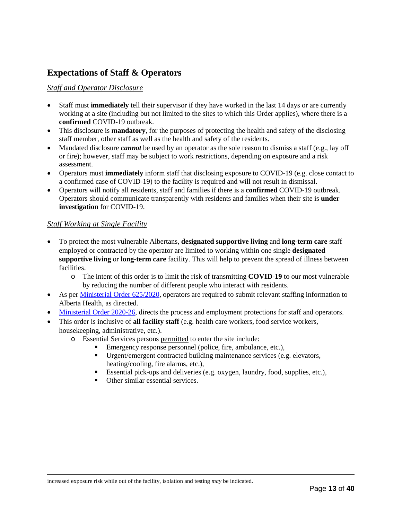### <span id="page-12-0"></span>**Expectations of Staff & Operators**

#### <span id="page-12-1"></span>*Staff and Operator Disclosure*

- Staff must **immediately** tell their supervisor if they have worked in the last 14 days or are currently working at a site (including but not limited to the sites to which this Order applies), where there is a **confirmed** COVID-19 outbreak.
- This disclosure is **mandatory**, for the purposes of protecting the health and safety of the disclosing staff member, other staff as well as the health and safety of the residents.
- Mandated disclosure *cannot* be used by an operator as the sole reason to dismiss a staff (e.g., lay off or fire); however, staff may be subject to work restrictions, depending on exposure and a risk assessment.
- Operators must **immediately** inform staff that disclosing exposure to COVID-19 (e.g. close contact to a confirmed case of COVID-19) to the facility is required and will not result in dismissal.
- Operators will notify all residents, staff and families if there is a **confirmed** COVID-19 outbreak. Operators should communicate transparently with residents and families when their site is **under investigation** for COVID-19.

#### <span id="page-12-2"></span>*Staff Working at Single Facility*

- To protect the most vulnerable Albertans, **designated supportive living** and **long-term care** staff employed or contracted by the operator are limited to working within one single **designated supportive living** or **long-term care** facility. This will help to prevent the spread of illness between facilities.
	- o The intent of this order is to limit the risk of transmitting **COVID-19** to our most vulnerable by reducing the number of different people who interact with residents.
- As per [Ministerial Order 625/2020,](https://open.alberta.ca/dataset/d190d34f-3f7c-457f-8a81-38005a658e31/resource/38376fb2-6dbd-4f0d-8eea-bda728c75ee9/download/health-covid-ministerial-order-625-2020-health.pdf) operators are required to submit relevant staffing information to Alberta Health, as directed.
- [Ministerial Order 2020-26,](https://open.alberta.ca/dataset/607a677c-21cc-40fd-ad87-562f6dfa15c6/resource/016b40da-9c75-46b5-b0fb-d19ab84fc419/download/li-mo-26-2020-employees-may-only-work-at-one-worksite.pdf) directs the process and employment protections for staff and operators.
- This order is inclusive of **all facility staff** (e.g. health care workers, food service workers, housekeeping, administrative, etc.).
	- o Essential Services persons permitted to enter the site include:
		- Emergency response personnel (police, fire, ambulance, etc.),
		- Urgent/emergent contracted building maintenance services (e.g. elevators, heating/cooling, fire alarms, etc.),
		- Essential pick-ups and deliveries (e.g. oxygen, laundry, food, supplies, etc.),
		- Other similar essential services.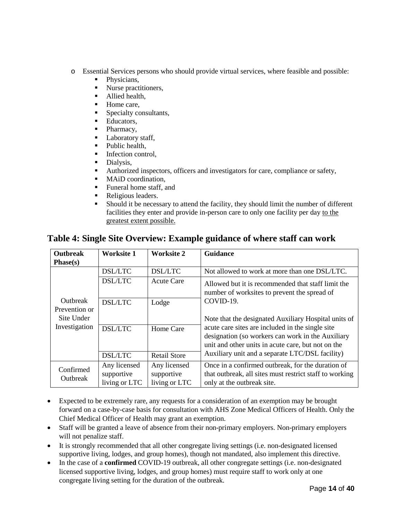- o Essential Services persons who should provide virtual services, where feasible and possible:
	- Physicians,
	- Nurse practitioners,
	- Allied health,
	- Home care,
	- Specialty consultants,
	- **Educators,**
	- Pharmacy,
	- Laboratory staff,
	- Public health,
	- **Infection control.**
	- Dialysis,
	- Authorized inspectors, officers and investigators for care, compliance or safety,
	- MAiD coordination,
	- Funeral home staff, and
	- Religious leaders.

living or LTC

 Should it be necessary to attend the facility, they should limit the number of different facilities they enter and provide in-person care to only one facility per day to the greatest extent possible.

| <b>Outbreak</b>                              | <b>Worksite 1</b>                                  | Worksite 2                                      | <b>Guidance</b>                                                                                              |
|----------------------------------------------|----------------------------------------------------|-------------------------------------------------|--------------------------------------------------------------------------------------------------------------|
| Phase(s)                                     |                                                    |                                                 |                                                                                                              |
|                                              | <b>DSL/LTC</b>                                     | <b>DSL/LTC</b>                                  | Not allowed to work at more than one DSL/LTC.                                                                |
|                                              | <b>DSL/LTC</b>                                     | <b>Acute Care</b>                               | Allowed but it is recommended that staff limit the<br>number of worksites to prevent the spread of           |
| <b>Outbreak</b>                              | <b>DSL/LTC</b>                                     | Lodge                                           | COVID-19.                                                                                                    |
| Prevention or                                |                                                    |                                                 |                                                                                                              |
| Site Under                                   |                                                    |                                                 | Note that the designated Auxiliary Hospital units of                                                         |
| Investigation<br><b>DSL/LTC</b><br>Home Care | acute care sites are included in the single site   |                                                 |                                                                                                              |
|                                              |                                                    |                                                 | designation (so workers can work in the Auxiliary                                                            |
| <b>DSL/LTC</b><br><b>Retail Store</b>        | unit and other units in acute care, but not on the |                                                 |                                                                                                              |
|                                              |                                                    | Auxiliary unit and a separate LTC/DSL facility) |                                                                                                              |
| Confirmed                                    | Any licensed<br>supportive                         | Any licensed<br>supportive                      | Once in a confirmed outbreak, for the duration of<br>that outbreak, all sites must restrict staff to working |
| Outbreak                                     |                                                    |                                                 |                                                                                                              |

### <span id="page-13-0"></span>**Table 4: Single Site Overview: Example guidance of where staff can work**

• Expected to be extremely rare, any requests for a consideration of an exemption may be brought forward on a case-by-case basis for consultation with AHS Zone Medical Officers of Health. Only the Chief Medical Officer of Health may grant an exemption.

only at the outbreak site.

living or LTC

- Staff will be granted a leave of absence from their non-primary employers. Non-primary employers will not penalize staff.
- It is strongly recommended that all other congregate living settings (i.e. non-designated licensed supportive living, lodges, and group homes), though not mandated, also implement this directive.
- In the case of a **confirmed** COVID-19 outbreak, all other congregate settings (i.e. non-designated licensed supportive living, lodges, and group homes) must require staff to work only at one congregate living setting for the duration of the outbreak.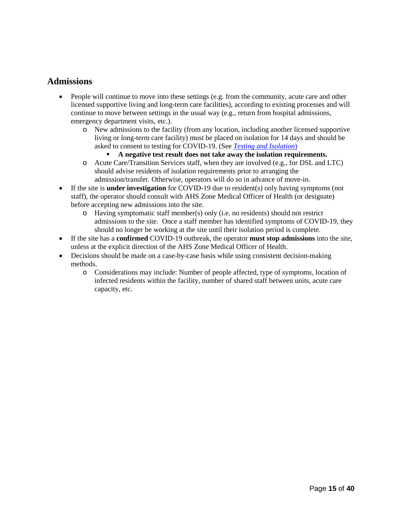#### <span id="page-14-0"></span>**Admissions**

- People will continue to move into these settings (e.g. from the community, acute care and other licensed supportive living and long-term care facilities), according to existing processes and will continue to move between settings in the usual way (e.g., return from hospital admissions, emergency department visits, etc.).
	- o New admissions to the facility (from any location, including another licensed supportive living or long-term care facility) must be placed on isolation for 14 days and should be asked to consent to testing for COVID-19. (See *[Testing and Isolation](#page-9-1)*)
		- **A negative test result does not take away the isolation requirements.**
	- o Acute Care/Transition Services staff, when they are involved (e.g., for DSL and LTC) should advise residents of isolation requirements prior to arranging the admission/transfer. Otherwise, operators will do so in advance of move-in.
- If the site is **under investigation** for COVID-19 due to resident(s) only having symptoms (not staff), the operator should consult with AHS Zone Medical Officer of Health (or designate) before accepting new admissions into the site.
	- o Having symptomatic staff member(s) only (i.e. no residents) should not restrict admissions to the site. Once a staff member has identified symptoms of COVID-19, they should no longer be working at the site until their isolation period is complete.
- If the site has a **confirmed** COVID-19 outbreak, the operator **must stop admissions** into the site, unless at the explicit direction of the AHS Zone Medical Officer of Health.
- Decisions should be made on a case-by-case basis while using consistent decision-making methods.
	- o Considerations may include: Number of people affected, type of symptoms, location of infected residents within the facility, number of shared staff between units, acute care capacity, etc.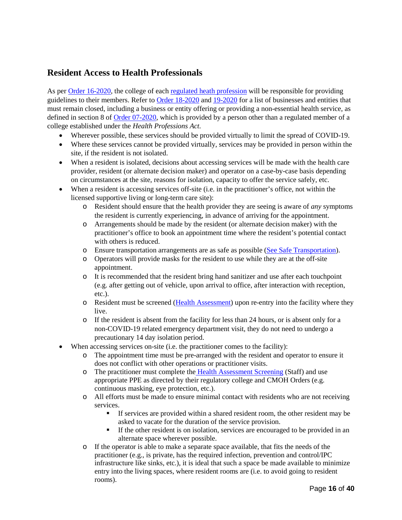### <span id="page-15-0"></span>**Resident Access to Health Professionals**

As per [Order 16-2020,](https://open.alberta.ca/dataset/2a615f78-aa9e-48d9-a323-9f2c08b07667/resource/fcca7551-9a32-4ec0-9545-aa5163f8a284/download/health-cmoh-record-of-decision-cmoh-16-2020.pdf) the college of each [regulated heath profession](https://www.alberta.ca/regulated-health-professions.aspx) will be responsible for providing guidelines to their members. Refer to [Order 18-2020](https://open.alberta.ca/publications/cmoh-order-18-2020-rescinds-04-2020-and-modifies-orders-01-02-and-07-2020-covid-19-response) and [19-2020](https://open.alberta.ca/publications/cmoh-order-19-2020-which-modifies-cmoh-orders-01-02-and-07-2020-covid-19-response) for a list of businesses and entities that must remain closed, including a business or entity offering or providing a non-essential health service, as defined in section 8 of [Order 07-2020,](https://open.alberta.ca/dataset/c02f3b06-9c37-4845-98ee-d07d805fdce1/resource/32f3367d-9a15-4aef-af6e-4e960891c14e/download/health-cmoh-record-of-decision-cmoh-07-2020.pdf) which is provided by a person other than a regulated member of a college established under the *Health Professions Act.*

- Wherever possible, these services should be provided virtually to limit the spread of COVID-19.
- Where these services cannot be provided virtually, services may be provided in person within the site, if the resident is not isolated.
- When a resident is isolated, decisions about accessing services will be made with the health care provider, resident (or alternate decision maker) and operator on a case-by-case basis depending on circumstances at the site, reasons for isolation, capacity to offer the service safely, etc.
- When a resident is accessing services off-site (i.e. in the practitioner's office, not within the licensed supportive living or long-term care site):
	- o Resident should ensure that the health provider they are seeing is aware of *any* symptoms the resident is currently experiencing, in advance of arriving for the appointment.
	- o Arrangements should be made by the resident (or alternate decision maker) with the practitioner's office to book an appointment time where the resident's potential contact with others is reduced.
	- o Ensure transportation arrangements are as safe as possible [\(See Safe Transportation\)](#page-23-1).
	- o Operators will provide masks for the resident to use while they are at the off-site appointment.
	- o It is recommended that the resident bring hand sanitizer and use after each touchpoint (e.g. after getting out of vehicle, upon arrival to office, after interaction with reception, etc.).
	- o Resident must be screened [\(Health Assessment\)](#page-7-1) upon re-entry into the facility where they live.
	- o If the resident is absent from the facility for less than 24 hours, or is absent only for a non-COVID-19 related emergency department visit, they do not need to undergo a precautionary 14 day isolation period.
- When accessing services on-site (i.e. the practitioner comes to the facility):
	- o The appointment time must be pre-arranged with the resident and operator to ensure it does not conflict with other operations or practitioner visits.
	- o The practitioner must complete the [Health Assessment Screening](#page-7-1) (Staff) and use appropriate PPE as directed by their regulatory college and CMOH Orders (e.g. continuous masking, eye protection, etc.).
	- o All efforts must be made to ensure minimal contact with residents who are not receiving services.
		- If services are provided within a shared resident room, the other resident may be asked to vacate for the duration of the service provision.
		- If the other resident is on isolation, services are encouraged to be provided in an alternate space wherever possible.
	- o If the operator is able to make a separate space available, that fits the needs of the practitioner (e.g., is private, has the required infection, prevention and control/IPC infrastructure like sinks, etc.), it is ideal that such a space be made available to minimize entry into the living spaces, where resident rooms are (i.e. to avoid going to resident rooms).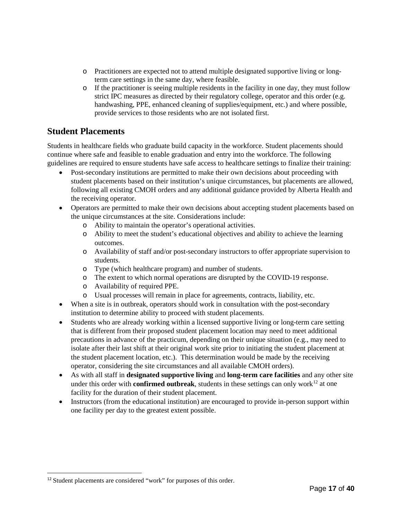- o Practitioners are expected not to attend multiple designated supportive living or longterm care settings in the same day, where feasible.
- $\circ$  If the practitioner is seeing multiple residents in the facility in one day, they must follow strict IPC measures as directed by their regulatory college, operator and this order (e.g. handwashing, PPE, enhanced cleaning of supplies/equipment, etc.) and where possible, provide services to those residents who are not isolated first.

### <span id="page-16-0"></span>**Student Placements**

Students in healthcare fields who graduate build capacity in the workforce. Student placements should continue where safe and feasible to enable graduation and entry into the workforce. The following guidelines are required to ensure students have safe access to healthcare settings to finalize their training:

- Post-secondary institutions are permitted to make their own decisions about proceeding with student placements based on their institution's unique circumstances, but placements are allowed, following all existing CMOH orders and any additional guidance provided by Alberta Health and the receiving operator.
- Operators are permitted to make their own decisions about accepting student placements based on the unique circumstances at the site. Considerations include:
	- o Ability to maintain the operator's operational activities.
	- o Ability to meet the student's educational objectives and ability to achieve the learning outcomes.
	- o Availability of staff and/or post-secondary instructors to offer appropriate supervision to students.
	- o Type (which healthcare program) and number of students.
	- o The extent to which normal operations are disrupted by the COVID-19 response.
	- o Availability of required PPE.
	- o Usual processes will remain in place for agreements, contracts, liability, etc.
- When a site is in outbreak, operators should work in consultation with the post-secondary institution to determine ability to proceed with student placements.
- Students who are already working within a licensed supportive living or long-term care setting that is different from their proposed student placement location may need to meet additional precautions in advance of the practicum, depending on their unique situation (e.g., may need to isolate after their last shift at their original work site prior to initiating the student placement at the student placement location, etc.). This determination would be made by the receiving operator, considering the site circumstances and all available CMOH orders).
- As with all staff in **designated supportive living** and **long-term care facilities** and any other site under this order with **confirmed outbreak**, students in these settings can only work<sup>[12](#page-16-2)</sup> at one facility for the duration of their student placement.
- <span id="page-16-1"></span>• Instructors (from the educational institution) are encouraged to provide in-person support within one facility per day to the greatest extent possible.

 $\overline{a}$ 

<span id="page-16-2"></span><sup>&</sup>lt;sup>12</sup> Student placements are considered "work" for purposes of this order.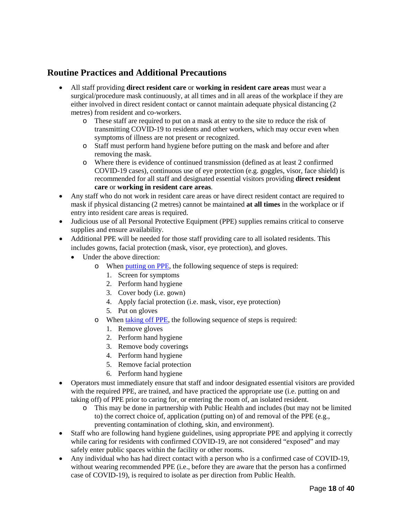### **Routine Practices and Additional Precautions**

- All staff providing **direct resident care** or **working in resident care areas** must wear a surgical/procedure mask continuously, at all times and in all areas of the workplace if they are either involved in direct resident contact or cannot maintain adequate physical distancing (2 metres) from resident and co-workers.
	- o These staff are required to put on a mask at entry to the site to reduce the risk of transmitting COVID-19 to residents and other workers, which may occur even when symptoms of illness are not present or recognized.
	- o Staff must perform hand hygiene before putting on the mask and before and after removing the mask.
	- o Where there is evidence of continued transmission (defined as at least 2 confirmed COVID-19 cases), continuous use of eye protection (e.g. goggles, visor, face shield) is recommended for all staff and designated essential visitors providing **direct resident care** or **working in resident care areas**.
- Any staff who do not work in resident care areas or have direct resident contact are required to mask if physical distancing (2 metres) cannot be maintained **at all times** in the workplace or if entry into resident care areas is required.
- Judicious use of all Personal Protective Equipment (PPE) supplies remains critical to conserve supplies and ensure availability.
- Additional PPE will be needed for those staff providing care to all isolated residents. This includes gowns, facial protection (mask, visor, eye protection), and gloves.
	- Under the above direction:
		- o When [putting on PPE,](https://www.albertahealthservices.ca/assets/Infofor/hp/if-hp-ipc-donning-ppe-poster.pdf) the following sequence of steps is required:
			- 1. Screen for symptoms
			- 2. Perform hand hygiene
			- 3. Cover body (i.e. gown)
			- 4. Apply facial protection (i.e. mask, visor, eye protection)
			- 5. Put on gloves
		- o When [taking off PPE,](https://www.albertahealthservices.ca/assets/Infofor/hp/if-hp-ipc-doffing-ppe-poster.pdf) the following sequence of steps is required:
			- 1. Remove gloves
			- 2. Perform hand hygiene
			- 3. Remove body coverings
			- 4. Perform hand hygiene
			- 5. Remove facial protection
			- 6. Perform hand hygiene
- Operators must immediately ensure that staff and indoor designated essential visitors are provided with the required PPE, are trained, and have practiced the appropriate use (i.e. putting on and taking off) of PPE prior to caring for, or entering the room of, an isolated resident.
	- o This may be done in partnership with Public Health and includes (but may not be limited to) the correct choice of, application (putting on) of and removal of the PPE (e.g., preventing contamination of clothing, skin, and environment).
- Staff who are following hand hygiene guidelines, using appropriate PPE and applying it correctly while caring for residents with confirmed COVID-19, are not considered "exposed" and may safely enter public spaces within the facility or other rooms.
- Any individual who has had direct contact with a person who is a confirmed case of COVID-19, without wearing recommended PPE (i.e., before they are aware that the person has a confirmed case of COVID-19), is required to isolate as per direction from Public Health.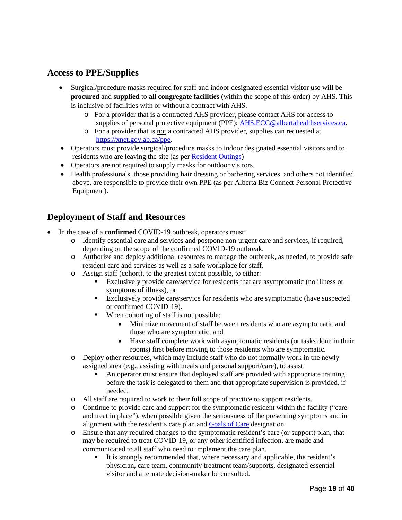### <span id="page-18-0"></span>**Access to PPE/Supplies**

- Surgical/procedure masks required for staff and indoor designated essential visitor use will be **procured** and **supplied** to **all congregate facilities** (within the scope of this order) by AHS. This is inclusive of facilities with or without a contract with AHS.
	- o For a provider that is a contracted AHS provider, please contact AHS for access to supplies of personal protective equipment (PPE): [AHS.ECC@albertahealthservices.ca.](mailto:AHS.ECC@albertahealthservices.ca)
	- o For a provider that is not a contracted AHS provider, supplies can requested at [https://xnet.gov.ab.ca/ppe.](https://xnet.gov.ab.ca/ppe)
- Operators must provide surgical/procedure masks to indoor designated essential visitors and to residents who are leaving the site (as pe[r Resident Outings\)](#page-23-1)
- Operators are not required to supply masks for outdoor visitors.
- Health professionals, those providing hair dressing or barbering services, and others not identified above, are responsible to provide their own PPE (as per Alberta Biz Connect Personal Protective Equipment).

### <span id="page-18-1"></span>**Deployment of Staff and Resources**

- In the case of a **confirmed** COVID-19 outbreak, operators must:
	- o Identify essential care and services and postpone non-urgent care and services, if required, depending on the scope of the confirmed COVID-19 outbreak.
	- o Authorize and deploy additional resources to manage the outbreak, as needed, to provide safe resident care and services as well as a safe workplace for staff.
	- o Assign staff (cohort), to the greatest extent possible, to either:
		- Exclusively provide care/service for residents that are asymptomatic (no illness or symptoms of illness), or
		- Exclusively provide care/service for residents who are symptomatic (have suspected or confirmed COVID-19).
		- When cohorting of staff is not possible:
			- Minimize movement of staff between residents who are asymptomatic and those who are symptomatic, and
			- Have staff complete work with asymptomatic residents (or tasks done in their rooms) first before moving to those residents who are symptomatic.
	- o Deploy other resources, which may include staff who do not normally work in the newly assigned area (e.g., assisting with meals and personal support/care), to assist.
		- An operator must ensure that deployed staff are provided with appropriate training before the task is delegated to them and that appropriate supervision is provided, if needed.
	- o All staff are required to work to their full scope of practice to support residents.
	- o Continue to provide care and support for the symptomatic resident within the facility ("care and treat in place"), when possible given the seriousness of the presenting symptoms and in alignment with the resident's care plan and [Goals of Care](https://www.albertahealthservices.ca/frm-103547.pdf) designation.
	- o Ensure that any required changes to the symptomatic resident's care (or support) plan, that may be required to treat COVID-19, or any other identified infection, are made and communicated to all staff who need to implement the care plan.
		- It is strongly recommended that, where necessary and applicable, the resident's physician, care team, community treatment team/supports, designated essential visitor and alternate decision-maker be consulted.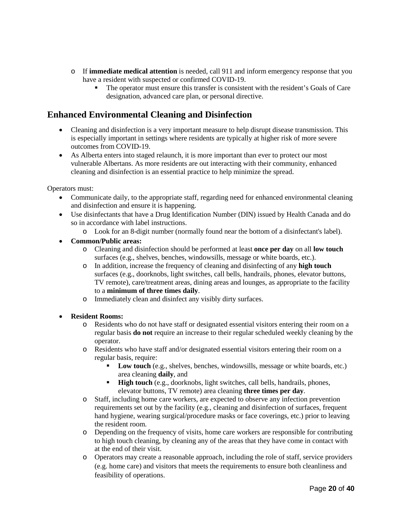- o If **immediate medical attention** is needed, call 911 and inform emergency response that you have a resident with suspected or confirmed COVID-19.
	- The operator must ensure this transfer is consistent with the resident's Goals of Care designation, advanced care plan, or personal directive.

### <span id="page-19-0"></span>**Enhanced Environmental Cleaning and Disinfection**

- Cleaning and disinfection is a very important measure to help disrupt disease transmission. This is especially important in settings where residents are typically at higher risk of more severe outcomes from COVID-19.
- As Alberta enters into staged relaunch, it is more important than ever to protect our most vulnerable Albertans. As more residents are out interacting with their community, enhanced cleaning and disinfection is an essential practice to help minimize the spread.

Operators must:

- Communicate daily, to the appropriate staff, regarding need for enhanced environmental cleaning and disinfection and ensure it is happening.
- Use disinfectants that have a Drug Identification Number (DIN) issued by Health Canada and do so in accordance with label instructions.
	- o Look for an 8-digit number (normally found near the bottom of a disinfectant's label).
- **Common/Public areas:** 
	- o Cleaning and disinfection should be performed at least **once per day** on all **low touch** surfaces (e.g., shelves, benches, windowsills, message or white boards, etc.).
	- o In addition, increase the frequency of cleaning and disinfecting of any **high touch** surfaces (e.g., doorknobs, light switches, call bells, handrails, phones, elevator buttons, TV remote), care/treatment areas, dining areas and lounges, as appropriate to the facility to a **minimum of three times daily**.
	- o Immediately clean and disinfect any visibly dirty surfaces.
- **Resident Rooms:**
	- o Residents who do not have staff or designated essential visitors entering their room on a regular basis **do not** require an increase to their regular scheduled weekly cleaning by the operator.
	- o Residents who have staff and/or designated essential visitors entering their room on a regular basis, require:
		- Low touch (e.g., shelves, benches, windowsills, message or white boards, etc.) area cleaning **daily**, and
		- **High touch** (e.g., doorknobs, light switches, call bells, handrails, phones, elevator buttons, TV remote) area cleaning **three times per day**.
	- o Staff, including home care workers, are expected to observe any infection prevention requirements set out by the facility (e.g., cleaning and disinfection of surfaces, frequent hand hygiene, wearing surgical/procedure masks or face coverings, etc.) prior to leaving the resident room.
	- o Depending on the frequency of visits, home care workers are responsible for contributing to high touch cleaning, by cleaning any of the areas that they have come in contact with at the end of their visit.
	- o Operators may create a reasonable approach, including the role of staff, service providers (e.g. home care) and visitors that meets the requirements to ensure both cleanliness and feasibility of operations.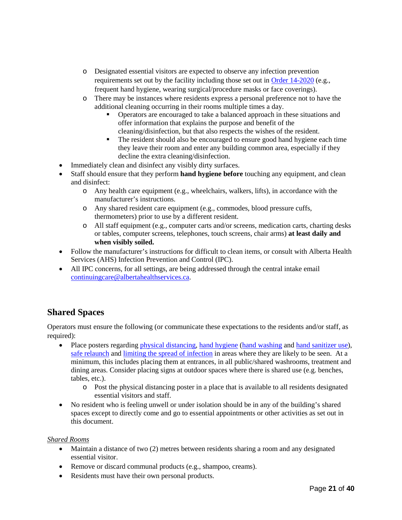- o Designated essential visitors are expected to observe any infection prevention requirements set out by the facility including those set out in [Order 14-2020](https://open.alberta.ca/publications/cmoh-order-14-2020-2020-covid-19-response) (e.g., frequent hand hygiene, wearing surgical/procedure masks or face coverings).
- o There may be instances where residents express a personal preference not to have the additional cleaning occurring in their rooms multiple times a day.
	- Operators are encouraged to take a balanced approach in these situations and offer information that explains the purpose and benefit of the cleaning/disinfection, but that also respects the wishes of the resident.
	- The resident should also be encouraged to ensure good hand hygiene each time they leave their room and enter any building common area, especially if they decline the extra cleaning/disinfection.
- Immediately clean and disinfect any visibly dirty surfaces.
- Staff should ensure that they perform **hand hygiene before** touching any equipment, and clean and disinfect:
	- o Any health care equipment (e.g., wheelchairs, walkers, lifts), in accordance with the manufacturer's instructions.
	- o Any shared resident care equipment (e.g., commodes, blood pressure cuffs, thermometers) prior to use by a different resident.
	- o All staff equipment (e.g., computer carts and/or screens, medication carts, charting desks or tables, computer screens, telephones, touch screens, chair arms) **at least daily and when visibly soiled.**
- Follow the manufacturer's instructions for difficult to clean items, or consult with Alberta Health Services (AHS) Infection Prevention and Control (IPC).
- All IPC concerns, for all settings, are being addressed through the central intake email [continuingcare@albertahealthservices.ca.](mailto:continuingcare@albertahealthservices.ca)

### <span id="page-20-0"></span>**Shared Spaces**

Operators must ensure the following (or communicate these expectations to the residents and/or staff, as required):

- Place posters regarding [physical distancing,](https://open.alberta.ca/dataset/80c3fda3-7bd8-41c2-8724-c476c1b54a5b/resource/6e6a0f62-1815-4277-b015-d390a2687860/download/covid-19-practice-physical-distancing-poster-11x-17-bw.pdf) [hand hygiene](https://www.albertahealthservices.ca/assets/info/hp/hh/if-hp-hh-moments-1-portrait.pdf) [\(hand washing](https://www.albertahealthservices.ca/assets/healthinfo/ipc/if-hp-ipc-flu-handwash-how-to.pdf) and [hand sanitizer use\)](https://www.albertahealthservices.ca/assets/healthinfo/ipc/if-hp-flu-hand-rub-how-to.pdf), [safe relaunch](https://open.alberta.ca/dataset/80c3fda3-7bd8-41c2-8724-c476c1b54a5b/resource/9a5ea22c-2490-47f3-8b02-7df3d2fc4669/download/covid-19-prevention-starts-with-awareness-poster-11x-17-colour.pdf) an[d limiting the spread of infection](https://open.alberta.ca/publications/covid-19-information-help-prevent-the-spread-poster) in areas where they are likely to be seen. At a minimum, this includes placing them at entrances, in all public/shared washrooms, treatment and dining areas. Consider placing signs at outdoor spaces where there is shared use (e.g. benches, tables, etc.).
	- o Post the physical distancing poster in a place that is available to all residents designated essential visitors and staff.
- No resident who is feeling unwell or under isolation should be in any of the building's shared spaces except to directly come and go to essential appointments or other activities as set out in this document.

#### *Shared Rooms*

- Maintain a distance of two (2) metres between residents sharing a room and any designated essential visitor.
- Remove or discard communal products (e.g., shampoo, creams).
- Residents must have their own personal products.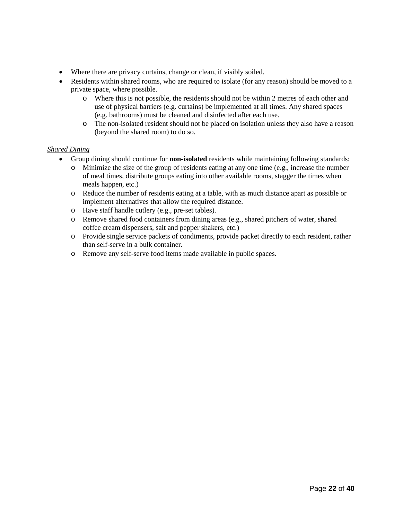- Where there are privacy curtains, change or clean, if visibly soiled.
- Residents within shared rooms, who are required to isolate (for any reason) should be moved to a private space, where possible.
	- o Where this is not possible, the residents should not be within 2 metres of each other and use of physical barriers (e.g. curtains) be implemented at all times. Any shared spaces (e.g. bathrooms) must be cleaned and disinfected after each use.
	- o The non-isolated resident should not be placed on isolation unless they also have a reason (beyond the shared room) to do so.

#### *Shared Dining*

- Group dining should continue for **non-isolated** residents while maintaining following standards:
	- o Minimize the size of the group of residents eating at any one time (e.g., increase the number of meal times, distribute groups eating into other available rooms, stagger the times when meals happen, etc.)
	- o Reduce the number of residents eating at a table, with as much distance apart as possible or implement alternatives that allow the required distance.
	- o Have staff handle cutlery (e.g., pre-set tables).
	- o Remove shared food containers from dining areas (e.g., shared pitchers of water, shared coffee cream dispensers, salt and pepper shakers, etc.)
	- o Provide single service packets of condiments, provide packet directly to each resident, rather than self-serve in a bulk container.
	- o Remove any self-serve food items made available in public spaces.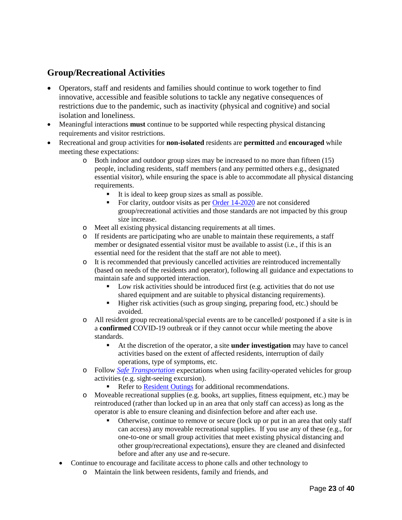### <span id="page-22-0"></span>**Group/Recreational Activities**

- Operators, staff and residents and families should continue to work together to find innovative, accessible and feasible solutions to tackle any negative consequences of restrictions due to the pandemic, such as inactivity (physical and cognitive) and social isolation and loneliness.
- Meaningful interactions **must** continue to be supported while respecting physical distancing requirements and visitor restrictions.
- Recreational and group activities for **non-isolated** residents are **permitted** and **encouraged** while meeting these expectations:
	- o Both indoor and outdoor group sizes may be increased to no more than fifteen (15) people, including residents, staff members (and any permitted others e.g., designated essential visitor), while ensuring the space is able to accommodate all physical distancing requirements.
		- It is ideal to keep group sizes as small as possible.
		- For clarity, outdoor visits as per  $Order\ 14-2020$  are not considered group/recreational activities and those standards are not impacted by this group size increase.
	- o Meet all existing physical distancing requirements at all times.
	- o If residents are participating who are unable to maintain these requirements, a staff member or designated essential visitor must be available to assist (i.e., if this is an essential need for the resident that the staff are not able to meet).
	- o It is recommended that previously cancelled activities are reintroduced incrementally (based on needs of the residents and operator), following all guidance and expectations to maintain safe and supported interaction.
		- **Low risk activities should be introduced first (e.g. activities that do not use** shared equipment and are suitable to physical distancing requirements).
		- Higher risk activities (such as group singing, preparing food, etc.) should be avoided.
	- o All resident group recreational/special events are to be cancelled/ postponed if a site is in a **confirmed** COVID-19 outbreak or if they cannot occur while meeting the above standards.
		- At the discretion of the operator, a site **under investigation** may have to cancel activities based on the extent of affected residents, interruption of daily operations, type of symptoms, etc.
	- o Follow *[Safe Transportation](#page-23-1)* expectations when using facility-operated vehicles for group activities (e.g. sight-seeing excursion).
		- Refer to [Resident Outings](#page-23-1) for additional recommendations.
	- o Moveable recreational supplies (e.g. books, art supplies, fitness equipment, etc.) may be reintroduced (rather than locked up in an area that only staff can access) as long as the operator is able to ensure cleaning and disinfection before and after each use.
		- Otherwise, continue to remove or secure (lock up or put in an area that only staff can access) any moveable recreational supplies. If you use any of these (e.g., for one-to-one or small group activities that meet existing physical distancing and other group/recreational expectations), ensure they are cleaned and disinfected before and after any use and re-secure.
	- Continue to encourage and facilitate access to phone calls and other technology to
		- o Maintain the link between residents, family and friends, and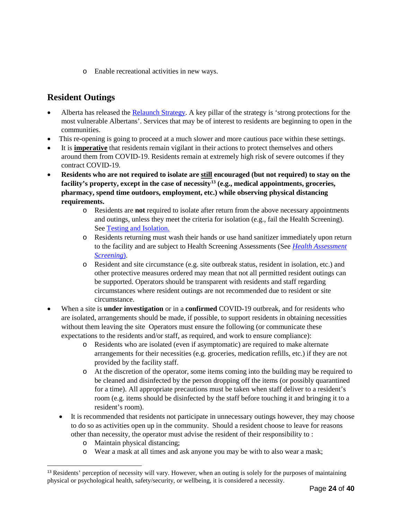o Enable recreational activities in new ways.

### <span id="page-23-1"></span><span id="page-23-0"></span>**Resident Outings**

- Alberta has released the [Relaunch Strategy.](https://www.alberta.ca/external/covid19-alberta-relaunch-strategy.pdf) A key pillar of the strategy is 'strong protections for the most vulnerable Albertans'. Services that may be of interest to residents are beginning to open in the communities.
- This re-opening is going to proceed at a much slower and more cautious pace within these settings.
- It is **imperative** that residents remain vigilant in their actions to protect themselves and others around them from COVID-19. Residents remain at extremely high risk of severe outcomes if they contract COVID-19.
- **Residents who are not required to isolate are still encouraged (but not required) to stay on the facility's property, except in the case of necessity[13](#page-23-2) (e.g., medical appointments, groceries, pharmacy, spend time outdoors, employment, etc.) while observing physical distancing requirements.** 
	- o Residents are **not** required to isolate after return from the above necessary appointments and outings, unless they meet the criteria for isolation (e.g., fail the Health Screening). See [Testing and Isolation.](#page-10-1)
	- o Residents returning must wash their hands or use hand sanitizer immediately upon return to the facility and are subject to Health Screening Assessments (See *[Health Assessment](#page-7-1)  [Screening](#page-7-1)*).
	- o Resident and site circumstance (e.g. site outbreak status, resident in isolation, etc.) and other protective measures ordered may mean that not all permitted resident outings can be supported. Operators should be transparent with residents and staff regarding circumstances where resident outings are not recommended due to resident or site circumstance.
- When a site is **under investigation** or in a **confirmed** COVID-19 outbreak, and for residents who are isolated, arrangements should be made, if possible, to support residents in obtaining necessities without them leaving the site Operators must ensure the following (or communicate these expectations to the residents and/or staff, as required, and work to ensure compliance):
	- o Residents who are isolated (even if asymptomatic) are required to make alternate arrangements for their necessities (e.g. groceries, medication refills, etc.) if they are not provided by the facility staff.
	- o At the discretion of the operator, some items coming into the building may be required to be cleaned and disinfected by the person dropping off the items (or possibly quarantined for a time). All appropriate precautions must be taken when staff deliver to a resident's room (e.g. items should be disinfected by the staff before touching it and bringing it to a resident's room).
	- It is recommended that residents not participate in unnecessary outings however, they may choose to do so as activities open up in the community. Should a resident choose to leave for reasons other than necessity, the operator must advise the resident of their responsibility to :
		- o Maintain physical distancing;

 $\overline{a}$ 

o Wear a mask at all times and ask anyone you may be with to also wear a mask;

<span id="page-23-2"></span><sup>&</sup>lt;sup>13</sup> Residents' perception of necessity will vary. However, when an outing is solely for the purposes of maintaining physical or psychological health, safety/security, or wellbeing, it is considered a necessity.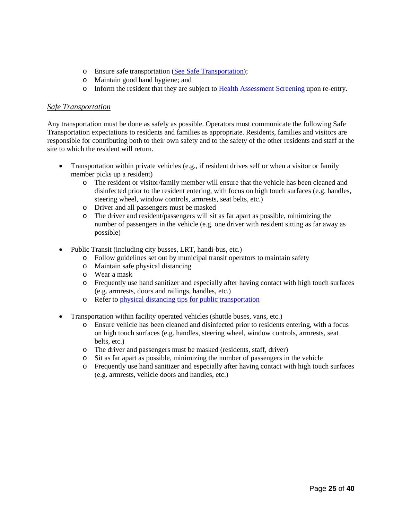- o Ensure safe transportation [\(See Safe Transportation\)](#page-23-1);
- o Maintain good hand hygiene; and
- o Inform the resident that they are subject to [Health Assessment Screening](#page-7-1) upon re-entry.

#### <span id="page-24-0"></span>*Safe Transportation*

Any transportation must be done as safely as possible. Operators must communicate the following Safe Transportation expectations to residents and families as appropriate. Residents, families and visitors are responsible for contributing both to their own safety and to the safety of the other residents and staff at the site to which the resident will return.

- Transportation within private vehicles (e.g., if resident drives self or when a visitor or family member picks up a resident)
	- o The resident or visitor/family member will ensure that the vehicle has been cleaned and disinfected prior to the resident entering, with focus on high touch surfaces (e.g. handles, steering wheel, window controls, armrests, seat belts, etc.)
	- o Driver and all passengers must be masked<br>
	o The driver and resident/passengers will sit
	- The driver and resident/passengers will sit as far apart as possible, minimizing the number of passengers in the vehicle (e.g. one driver with resident sitting as far away as possible)
- Public Transit (including city busses, LRT, handi-bus, etc.)
	- o Follow guidelines set out by municipal transit operators to maintain safety
	- o Maintain safe physical distancing
	- o Wear a mask
	- o Frequently use hand sanitizer and especially after having contact with high touch surfaces (e.g. armrests, doors and railings, handles, etc.)
	- o Refer to [physical distancing tips for public transportation](https://open.alberta.ca/dataset/80c3fda3-7bd8-41c2-8724-c476c1b54a5b/resource/76ae4870-5dc1-4ae4-b89c-b4377d045d3d/download/covid-19-public-transportation-tips-poster-11x17-colour.pdf)
- Transportation within facility operated vehicles (shuttle buses, vans, etc.)
	- o Ensure vehicle has been cleaned and disinfected prior to residents entering, with a focus on high touch surfaces (e.g. handles, steering wheel, window controls, armrests, seat belts, etc.)
	- o The driver and passengers must be masked (residents, staff, driver)
	- o Sit as far apart as possible, minimizing the number of passengers in the vehicle
	- o Frequently use hand sanitizer and especially after having contact with high touch surfaces (e.g. armrests, vehicle doors and handles, etc.)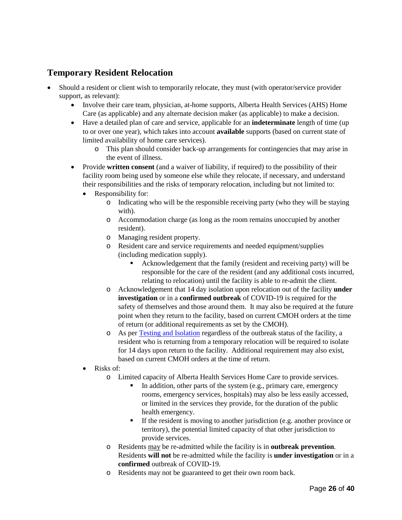### <span id="page-25-0"></span>**Temporary Resident Relocation**

- Should a resident or client wish to temporarily relocate, they must (with operator/service provider support, as relevant):
	- Involve their care team, physician, at-home supports, Alberta Health Services (AHS) Home Care (as applicable) and any alternate decision maker (as applicable) to make a decision.
	- Have a detailed plan of care and service, applicable for an **indeterminate** length of time (up to or over one year), which takes into account **available** supports (based on current state of limited availability of home care services).
		- o This plan should consider back-up arrangements for contingencies that may arise in the event of illness.
	- Provide **written consent** (and a waiver of liability, if required) to the possibility of their facility room being used by someone else while they relocate, if necessary, and understand their responsibilities and the risks of temporary relocation, including but not limited to:
		- Responsibility for:
			- o Indicating who will be the responsible receiving party (who they will be staying with).
			- o Accommodation charge (as long as the room remains unoccupied by another resident).
			- o Managing resident property.
			- o Resident care and service requirements and needed equipment/supplies (including medication supply).
				- Acknowledgement that the family (resident and receiving party) will be responsible for the care of the resident (and any additional costs incurred, relating to relocation) until the facility is able to re-admit the client.
			- o Acknowledgement that 14 day isolation upon relocation out of the facility **under investigation** or in a **confirmed outbreak** of COVID-19 is required for the safety of themselves and those around them. It may also be required at the future point when they return to the facility, based on current CMOH orders at the time of return (or additional requirements as set by the CMOH).
			- o As per [Testing and Isolation](#page-9-2) regardless of the outbreak status of the facility, a resident who is returning from a temporary relocation will be required to isolate for 14 days upon return to the facility. Additional requirement may also exist, based on current CMOH orders at the time of return.
		- Risks of:
			- o Limited capacity of Alberta Health Services Home Care to provide services.
				- In addition, other parts of the system (e.g., primary care, emergency rooms, emergency services, hospitals) may also be less easily accessed, or limited in the services they provide, for the duration of the public health emergency.
				- If the resident is moving to another jurisdiction (e.g. another province or territory), the potential limited capacity of that other jurisdiction to provide services.
			- o Residents may be re-admitted while the facility is in **outbreak prevention**. Residents **will not** be re-admitted while the facility is **under investigation** or in a **confirmed** outbreak of COVID-19.
			- o Residents may not be guaranteed to get their own room back.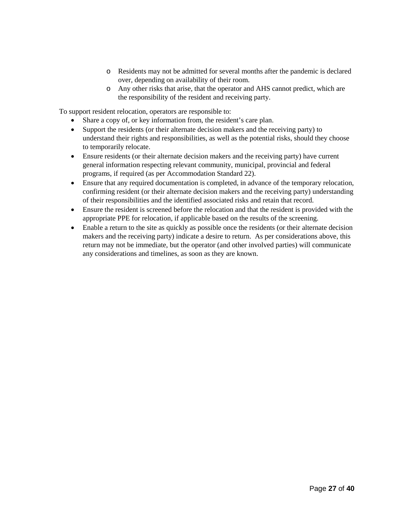- o Residents may not be admitted for several months after the pandemic is declared over, depending on availability of their room.
- o Any other risks that arise, that the operator and AHS cannot predict, which are the responsibility of the resident and receiving party.

To support resident relocation, operators are responsible to:

- Share a copy of, or key information from, the resident's care plan.
- Support the residents (or their alternate decision makers and the receiving party) to understand their rights and responsibilities, as well as the potential risks, should they choose to temporarily relocate.
- Ensure residents (or their alternate decision makers and the receiving party) have current general information respecting relevant community, municipal, provincial and federal programs, if required (as per Accommodation Standard 22).
- Ensure that any required documentation is completed, in advance of the temporary relocation, confirming resident (or their alternate decision makers and the receiving party) understanding of their responsibilities and the identified associated risks and retain that record.
- Ensure the resident is screened before the relocation and that the resident is provided with the appropriate PPE for relocation, if applicable based on the results of the screening.
- Enable a return to the site as quickly as possible once the residents (or their alternate decision makers and the receiving party) indicate a desire to return. As per considerations above, this return may not be immediate, but the operator (and other involved parties) will communicate any considerations and timelines, as soon as they are known.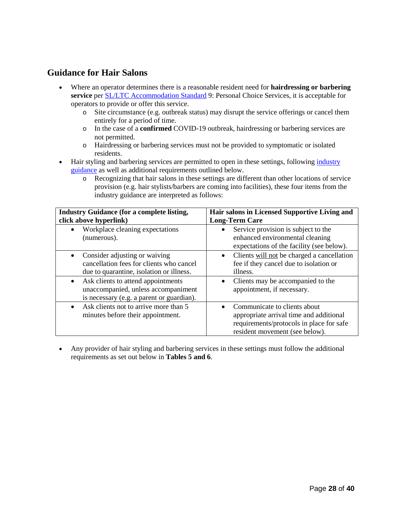### <span id="page-27-0"></span>**Guidance for Hair Salons**

- Where an operator determines there is a reasonable resident need for **hairdressing or barbering service** per [SL/LTC Accommodation Standard](https://open.alberta.ca/publications/accommodation-standards-and-licensing-information-guide-revision-5) 9: Personal Choice Services, it is acceptable for operators to provide or offer this service.
	- o Site circumstance (e.g. outbreak status) may disrupt the service offerings or cancel them entirely for a period of time.
	- o In the case of a **confirmed** COVID-19 outbreak, hairdressing or barbering services are not permitted.
	- o Hairdressing or barbering services must not be provided to symptomatic or isolated residents.
- Hair styling and barbering services are permitted to open in these settings, following industry [guidance](https://www.alberta.ca/assets/documents/covid-19-relaunch-guidance-hair-salons-barbershops.pdf) as well as additional requirements outlined below.
	- o Recognizing that hair salons in these settings are different than other locations of service provision (e.g. hair stylists/barbers are coming into facilities), these four items from the industry guidance are interpreted as follows:

| <b>Industry Guidance (for a complete listing,</b><br>click above hyperlink)                                                         | Hair salons in Licensed Supportive Living and<br><b>Long-Term Care</b>                                                                                |
|-------------------------------------------------------------------------------------------------------------------------------------|-------------------------------------------------------------------------------------------------------------------------------------------------------|
| Workplace cleaning expectations<br>(numerous).                                                                                      | Service provision is subject to the<br>$\bullet$<br>enhanced environmental cleaning<br>expectations of the facility (see below).                      |
| Consider adjusting or waiving<br>cancellation fees for clients who cancel<br>due to quarantine, isolation or illness.               | Clients will not be charged a cancellation<br>$\bullet$<br>fee if they cancel due to isolation or<br>illness.                                         |
| Ask clients to attend appointments<br>$\bullet$<br>unaccompanied, unless accompaniment<br>is necessary (e.g. a parent or guardian). | Clients may be accompanied to the<br>$\bullet$<br>appointment, if necessary.                                                                          |
| Ask clients not to arrive more than 5<br>minutes before their appointment.                                                          | Communicate to clients about<br>appropriate arrival time and additional<br>requirements/protocols in place for safe<br>resident movement (see below). |

• Any provider of hair styling and barbering services in these settings must follow the additional requirements as set out below in **Tables 5 and 6**.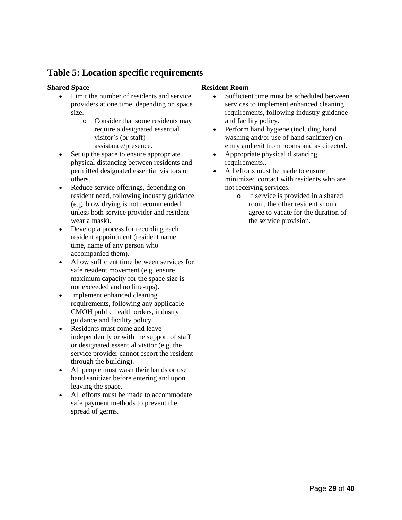| <b>Shared Space</b>                                                                                                                                                                                                                                                                                                                                                                                                                                                                                                                                                                                                                                                                                                                                                                                                                                                                                                                                                                                                                                                                                                                                                                                                                                                                                                                                                                                                                                                                                                                         | <b>Resident Room</b>                                                                                                                                                                                                                                                                                                                                                                                                                                                                                                                                                                                                                                    |
|---------------------------------------------------------------------------------------------------------------------------------------------------------------------------------------------------------------------------------------------------------------------------------------------------------------------------------------------------------------------------------------------------------------------------------------------------------------------------------------------------------------------------------------------------------------------------------------------------------------------------------------------------------------------------------------------------------------------------------------------------------------------------------------------------------------------------------------------------------------------------------------------------------------------------------------------------------------------------------------------------------------------------------------------------------------------------------------------------------------------------------------------------------------------------------------------------------------------------------------------------------------------------------------------------------------------------------------------------------------------------------------------------------------------------------------------------------------------------------------------------------------------------------------------|---------------------------------------------------------------------------------------------------------------------------------------------------------------------------------------------------------------------------------------------------------------------------------------------------------------------------------------------------------------------------------------------------------------------------------------------------------------------------------------------------------------------------------------------------------------------------------------------------------------------------------------------------------|
| Limit the number of residents and service<br>providers at one time, depending on space<br>size.<br>Consider that some residents may<br>$\circ$<br>require a designated essential<br>visitor's (or staff)<br>assistance/presence.<br>Set up the space to ensure appropriate<br>physical distancing between residents and<br>permitted designated essential visitors or<br>others.<br>Reduce service offerings, depending on<br>$\bullet$<br>resident need, following industry guidance<br>(e.g. blow drying is not recommended<br>unless both service provider and resident<br>wear a mask).<br>Develop a process for recording each<br>$\bullet$<br>resident appointment (resident name,<br>time, name of any person who<br>accompanied them).<br>Allow sufficient time between services for<br>$\bullet$<br>safe resident movement (e.g. ensure<br>maximum capacity for the space size is<br>not exceeded and no line-ups).<br>Implement enhanced cleaning<br>$\bullet$<br>requirements, following any applicable<br>CMOH public health orders, industry<br>guidance and facility policy.<br>Residents must come and leave<br>$\bullet$<br>independently or with the support of staff<br>or designated essential visitor (e.g. the<br>service provider cannot escort the resident<br>through the building).<br>All people must wash their hands or use<br>$\bullet$<br>hand sanitizer before entering and upon<br>leaving the space.<br>All efforts must be made to accommodate<br>safe payment methods to prevent the<br>spread of germs. | Sufficient time must be scheduled between<br>services to implement enhanced cleaning<br>requirements, following industry guidance<br>and facility policy.<br>Perform hand hygiene (including hand<br>$\bullet$<br>washing and/or use of hand sanitizer) on<br>entry and exit from rooms and as directed.<br>Appropriate physical distancing<br>$\bullet$<br>requirements<br>All efforts must be made to ensure<br>$\bullet$<br>minimized contact with residents who are<br>not receiving services.<br>If service is provided in a shared<br>$\circ$<br>room, the other resident should<br>agree to vacate for the duration of<br>the service provision. |

# <span id="page-28-0"></span>**Table 5: Location specific requirements**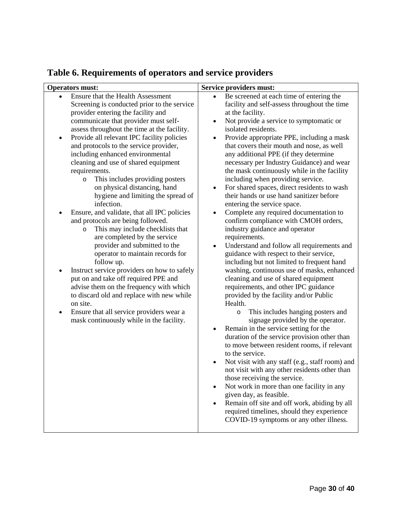<span id="page-29-1"></span>

| <b>Operators must:</b>                                                                                                                                                                                                                                                                                                                                                                                                                                                                                                                                                                                                                                                                                                                                                                                                                                                                                                                                                                                                                                                                               | Service providers must:                                                                                                                                                                                                                                                                                                                                                                                                                                                                                                                                                                                                                                                                                                                                                                                                                                                                                                                                                                                                                                                                                                                                                                                                                                                                                                                                                                                                                                                                                                                                                                                                                                                                              |
|------------------------------------------------------------------------------------------------------------------------------------------------------------------------------------------------------------------------------------------------------------------------------------------------------------------------------------------------------------------------------------------------------------------------------------------------------------------------------------------------------------------------------------------------------------------------------------------------------------------------------------------------------------------------------------------------------------------------------------------------------------------------------------------------------------------------------------------------------------------------------------------------------------------------------------------------------------------------------------------------------------------------------------------------------------------------------------------------------|------------------------------------------------------------------------------------------------------------------------------------------------------------------------------------------------------------------------------------------------------------------------------------------------------------------------------------------------------------------------------------------------------------------------------------------------------------------------------------------------------------------------------------------------------------------------------------------------------------------------------------------------------------------------------------------------------------------------------------------------------------------------------------------------------------------------------------------------------------------------------------------------------------------------------------------------------------------------------------------------------------------------------------------------------------------------------------------------------------------------------------------------------------------------------------------------------------------------------------------------------------------------------------------------------------------------------------------------------------------------------------------------------------------------------------------------------------------------------------------------------------------------------------------------------------------------------------------------------------------------------------------------------------------------------------------------------|
| Ensure that the Health Assessment<br>Screening is conducted prior to the service<br>provider entering the facility and<br>communicate that provider must self-<br>assess throughout the time at the facility.<br>Provide all relevant IPC facility policies<br>$\bullet$<br>and protocols to the service provider,<br>including enhanced environmental<br>cleaning and use of shared equipment<br>requirements.<br>This includes providing posters<br>$\circ$<br>on physical distancing, hand<br>hygiene and limiting the spread of<br>infection.<br>Ensure, and validate, that all IPC policies<br>and protocols are being followed.<br>This may include checklists that<br>$\circ$<br>are completed by the service<br>provider and submitted to the<br>operator to maintain records for<br>follow up.<br>Instruct service providers on how to safely<br>٠<br>put on and take off required PPE and<br>advise them on the frequency with which<br>to discard old and replace with new while<br>on site.<br>Ensure that all service providers wear a<br>٠<br>mask continuously while in the facility. | Be screened at each time of entering the<br>facility and self-assess throughout the time<br>at the facility.<br>Not provide a service to symptomatic or<br>$\bullet$<br>isolated residents.<br>Provide appropriate PPE, including a mask<br>that covers their mouth and nose, as well<br>any additional PPE (if they determine<br>necessary per Industry Guidance) and wear<br>the mask continuously while in the facility<br>including when providing service.<br>For shared spaces, direct residents to wash<br>$\bullet$<br>their hands or use hand sanitizer before<br>entering the service space.<br>Complete any required documentation to<br>confirm compliance with CMOH orders,<br>industry guidance and operator<br>requirements.<br>Understand and follow all requirements and<br>guidance with respect to their service,<br>including but not limited to frequent hand<br>washing, continuous use of masks, enhanced<br>cleaning and use of shared equipment<br>requirements, and other IPC guidance<br>provided by the facility and/or Public<br>Health.<br>This includes hanging posters and<br>$\circ$<br>signage provided by the operator.<br>Remain in the service setting for the<br>$\bullet$<br>duration of the service provision other than<br>to move between resident rooms, if relevant<br>to the service.<br>Not visit with any staff (e.g., staff room) and<br>$\bullet$<br>not visit with any other residents other than<br>those receiving the service.<br>Not work in more than one facility in any<br>given day, as feasible.<br>Remain off site and off work, abiding by all<br>required timelines, should they experience<br>COVID-19 symptoms or any other illness. |
|                                                                                                                                                                                                                                                                                                                                                                                                                                                                                                                                                                                                                                                                                                                                                                                                                                                                                                                                                                                                                                                                                                      |                                                                                                                                                                                                                                                                                                                                                                                                                                                                                                                                                                                                                                                                                                                                                                                                                                                                                                                                                                                                                                                                                                                                                                                                                                                                                                                                                                                                                                                                                                                                                                                                                                                                                                      |

# <span id="page-29-0"></span>**Table 6. Requirements of operators and service providers**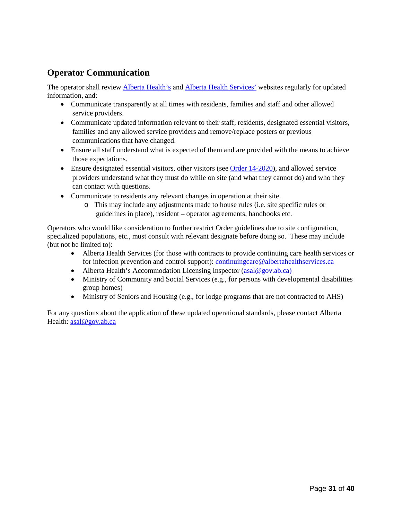### **Operator Communication**

The operator shall review **Alberta Health's and [Alberta Health Services'](http://www.ahs.ca/covid)** websites regularly for updated information, and:

- Communicate transparently at all times with residents, families and staff and other allowed service providers.
- Communicate updated information relevant to their staff, residents, designated essential visitors, families and any allowed service providers and remove/replace posters or previous communications that have changed.
- Ensure all staff understand what is expected of them and are provided with the means to achieve those expectations.
- Ensure designated essential visitors, other visitors (se[e Order 14-2020\)](https://open.alberta.ca/publications/cmoh-order-14-2020-2020-covid-19-response), and allowed service providers understand what they must do while on site (and what they cannot do) and who they can contact with questions.
- Communicate to residents any relevant changes in operation at their site.
	- o This may include any adjustments made to house rules (i.e. site specific rules or guidelines in place), resident – operator agreements, handbooks etc.

Operators who would like consideration to further restrict Order guidelines due to site configuration, specialized populations, etc., must consult with relevant designate before doing so. These may include (but not be limited to):

- Alberta Health Services (for those with contracts to provide continuing care health services or for infection prevention and control support): [continuingcare@albertahealthservices.ca](mailto:continuingcare@albertahealthservices.ca)
- Alberta Health's Accommodation Licensing Inspector  $(a \text{sal} @ \text{gov.ab.ca})$
- Ministry of Community and Social Services (e.g., for persons with developmental disabilities group homes)
- Ministry of Seniors and Housing (e.g., for lodge programs that are not contracted to AHS)

For any questions about the application of these updated operational standards, please contact Alberta Health: [asal@gov.ab.ca](mailto:asal@gov.ab.ca)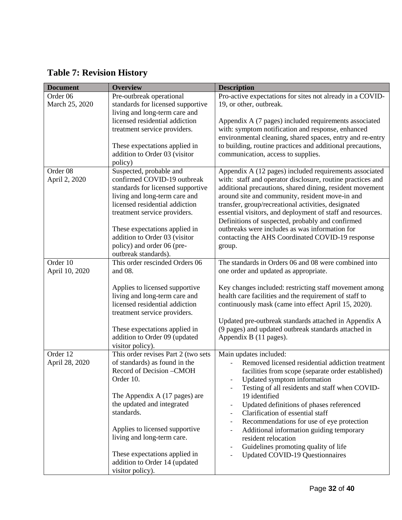<span id="page-31-0"></span>

|  |  |  | <b>Table 7: Revision History</b> |  |
|--|--|--|----------------------------------|--|
|--|--|--|----------------------------------|--|

| <b>Document</b> | <b>Overview</b>                     | <b>Description</b>                                                    |
|-----------------|-------------------------------------|-----------------------------------------------------------------------|
| Order 06        | Pre-outbreak operational            | Pro-active expectations for sites not already in a COVID-             |
| March 25, 2020  | standards for licensed supportive   | 19, or other, outbreak.                                               |
|                 | living and long-term care and       |                                                                       |
|                 | licensed residential addiction      | Appendix A (7 pages) included requirements associated                 |
|                 | treatment service providers.        | with: symptom notification and response, enhanced                     |
|                 |                                     | environmental cleaning, shared spaces, entry and re-entry             |
|                 | These expectations applied in       | to building, routine practices and additional precautions,            |
|                 | addition to Order 03 (visitor       | communication, access to supplies.                                    |
|                 | policy)                             |                                                                       |
| Order 08        | Suspected, probable and             | Appendix A (12 pages) included requirements associated                |
| April 2, 2020   | confirmed COVID-19 outbreak         | with: staff and operator disclosure, routine practices and            |
|                 | standards for licensed supportive   | additional precautions, shared dining, resident movement              |
|                 | living and long-term care and       | around site and community, resident move-in and                       |
|                 | licensed residential addiction      | transfer, group/recreational activities, designated                   |
|                 | treatment service providers.        | essential visitors, and deployment of staff and resources.            |
|                 |                                     | Definitions of suspected, probably and confirmed                      |
|                 | These expectations applied in       | outbreaks were includes as was information for                        |
|                 | addition to Order 03 (visitor       | contacting the AHS Coordinated COVID-19 response                      |
|                 | policy) and order 06 (pre-          | group.                                                                |
|                 | outbreak standards).                |                                                                       |
| Order 10        | This order rescinded Orders 06      | The standards in Orders 06 and 08 were combined into                  |
| April 10, 2020  | and 08.                             | one order and updated as appropriate.                                 |
|                 |                                     |                                                                       |
|                 | Applies to licensed supportive      | Key changes included: restricting staff movement among                |
|                 | living and long-term care and       | health care facilities and the requirement of staff to                |
|                 | licensed residential addiction      | continuously mask (came into effect April 15, 2020).                  |
|                 | treatment service providers.        |                                                                       |
|                 |                                     | Updated pre-outbreak standards attached in Appendix A                 |
|                 | These expectations applied in       | (9 pages) and updated outbreak standards attached in                  |
|                 | addition to Order 09 (updated       | Appendix B (11 pages).                                                |
|                 | visitor policy).                    |                                                                       |
| Order 12        | This order revises Part 2 (two sets | Main updates included:                                                |
| April 28, 2020  | of standards) as found in the       | Removed licensed residential addiction treatment                      |
|                 | Record of Decision -CMOH            | facilities from scope (separate order established)                    |
|                 | Order 10.                           | Updated symptom information                                           |
|                 |                                     | Testing of all residents and staff when COVID-                        |
|                 | The Appendix A (17 pages) are       | 19 identified                                                         |
|                 | the updated and integrated          | Updated definitions of phases referenced<br>$\overline{\phantom{a}}$  |
|                 | standards.                          | Clarification of essential staff<br>$\overline{\phantom{a}}$          |
|                 |                                     | Recommendations for use of eye protection<br>$\overline{\phantom{m}}$ |
|                 | Applies to licensed supportive      | Additional information guiding temporary<br>$\overline{\phantom{a}}$  |
|                 | living and long-term care.          | resident relocation                                                   |
|                 |                                     | Guidelines promoting quality of life                                  |
|                 | These expectations applied in       | <b>Updated COVID-19 Questionnaires</b>                                |
|                 | addition to Order 14 (updated       |                                                                       |
|                 | visitor policy).                    |                                                                       |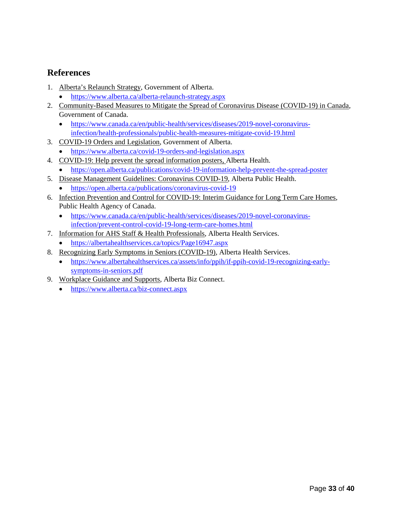### <span id="page-32-0"></span>**References**

- 1. Alberta's Relaunch Strategy, Government of Alberta.
	- <https://www.alberta.ca/alberta-relaunch-strategy.aspx>
- 2. Community-Based Measures to Mitigate the Spread of Coronavirus Disease (COVID-19) in Canada, Government of Canada.
	- [https://www.canada.ca/en/public-health/services/diseases/2019-novel-coronavirus](https://www.canada.ca/en/public-health/services/diseases/2019-novel-coronavirus-infection/health-professionals/public-health-measures-mitigate-covid-19.html)[infection/health-professionals/public-health-measures-mitigate-covid-19.html](https://www.canada.ca/en/public-health/services/diseases/2019-novel-coronavirus-infection/health-professionals/public-health-measures-mitigate-covid-19.html)
- 3. COVID-19 Orders and Legislation, Government of Alberta.
	- <https://www.alberta.ca/covid-19-orders-and-legislation.aspx>
- 4. COVID-19: Help prevent the spread information posters, Alberta Health.
- <https://open.alberta.ca/publications/covid-19-information-help-prevent-the-spread-poster>
- 5. Disease Management Guidelines: Coronavirus COVID-19, Alberta Public Health.
	- <https://open.alberta.ca/publications/coronavirus-covid-19>
- 6. Infection Prevention and Control for COVID-19: Interim Guidance for Long Term Care Homes, Public Health Agency of Canada.
	- [https://www.canada.ca/en/public-health/services/diseases/2019-novel-coronavirus](https://www.canada.ca/en/public-health/services/diseases/2019-novel-coronavirus-infection/prevent-control-covid-19-long-term-care-homes.html)[infection/prevent-control-covid-19-long-term-care-homes.html](https://www.canada.ca/en/public-health/services/diseases/2019-novel-coronavirus-infection/prevent-control-covid-19-long-term-care-homes.html)
- 7. Information for AHS Staff & Health Professionals, Alberta Health Services.
	- <https://albertahealthservices.ca/topics/Page16947.aspx>
- 8. Recognizing Early Symptoms in Seniors (COVID-19), Alberta Health Services.
	- [https://www.albertahealthservices.ca/assets/info/ppih/if-ppih-covid-19-recognizing-early](https://www.albertahealthservices.ca/assets/info/ppih/if-ppih-covid-19-recognizing-early-symptoms-in-seniors.pdf)[symptoms-in-seniors.pdf](https://www.albertahealthservices.ca/assets/info/ppih/if-ppih-covid-19-recognizing-early-symptoms-in-seniors.pdf)
- 9. Workplace Guidance and Supports, Alberta Biz Connect.
	- <https://www.alberta.ca/biz-connect.aspx>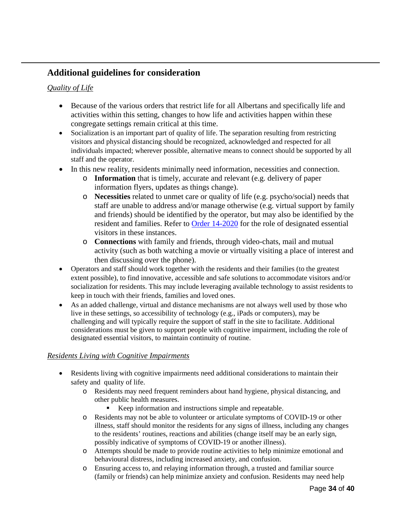### <span id="page-33-0"></span>**Additional guidelines for consideration**

#### <span id="page-33-1"></span>*Quality of Life*

- Because of the various orders that restrict life for all Albertans and specifically life and activities within this setting, changes to how life and activities happen within these congregate settings remain critical at this time.
- Socialization is an important part of quality of life. The separation resulting from restricting visitors and physical distancing should be recognized, acknowledged and respected for all individuals impacted; wherever possible, alternative means to connect should be supported by all staff and the operator.
- In this new reality, residents minimally need information, necessities and connection.
	- o **Information** that is timely, accurate and relevant (e.g. delivery of paper information flyers, updates as things change).
	- o **Necessities** related to unmet care or quality of life (e.g. psycho/social) needs that staff are unable to address and/or manage otherwise (e.g. virtual support by family and friends) should be identified by the operator, but may also be identified by the resident and families. Refer to [Order 14-2020](https://open.alberta.ca/dataset/1a2011e5-fc79-43b4-aab0-1c276b16b99b/resource/35ab8044-8c19-480a-9799-ef4f9b95c376/download/health-cmoh-record-of-decision-cmoh-14-2020.pdf) for the role of designated essential visitors in these instances.
	- o **Connections** with family and friends, through video-chats, mail and mutual activity (such as both watching a movie or virtually visiting a place of interest and then discussing over the phone).
- Operators and staff should work together with the residents and their families (to the greatest extent possible), to find innovative, accessible and safe solutions to accommodate visitors and/or socialization for residents. This may include leveraging available technology to assist residents to keep in touch with their friends, families and loved ones.
- As an added challenge, virtual and distance mechanisms are not always well used by those who live in these settings, so accessibility of technology (e.g., iPads or computers), may be challenging and will typically require the support of staff in the site to facilitate. Additional considerations must be given to support people with cognitive impairment, including the role of designated essential visitors, to maintain continuity of routine.

#### <span id="page-33-2"></span>*Residents Living with Cognitive Impairments*

- Residents living with cognitive impairments need additional considerations to maintain their safety and quality of life.
	- o Residents may need frequent reminders about hand hygiene, physical distancing, and other public health measures.
		- Keep information and instructions simple and repeatable.
	- o Residents may not be able to volunteer or articulate symptoms of COVID-19 or other illness, staff should monitor the residents for any signs of illness, including any changes to the residents' routines, reactions and abilities (change itself may be an early sign, possibly indicative of symptoms of COVID-19 or another illness).
	- o Attempts should be made to provide routine activities to help minimize emotional and behavioural distress, including increased anxiety, and confusion.
	- o Ensuring access to, and relaying information through, a trusted and familiar source (family or friends) can help minimize anxiety and confusion. Residents may need help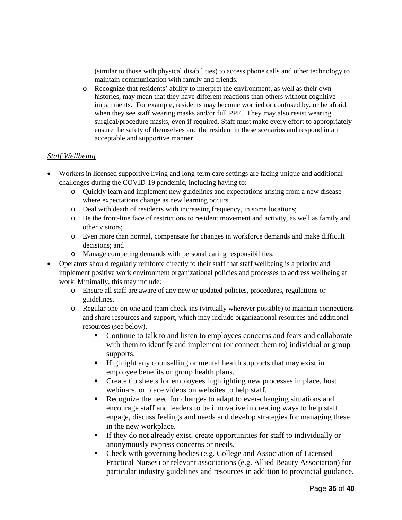(similar to those with physical disabilities) to access phone calls and other technology to maintain communication with family and friends.

o Recognize that residents' ability to interpret the environment, as well as their own histories, may mean that they have different reactions than others without cognitive impairments. For example, residents may become worried or confused by, or be afraid, when they see staff wearing masks and/or full PPE. They may also resist wearing surgical/procedure masks, even if required. Staff must make every effort to appropriately ensure the safety of themselves and the resident in these scenarios and respond in an acceptable and supportive manner.

#### <span id="page-34-0"></span>*Staff Wellbeing*

- Workers in licensed supportive living and long-term care settings are facing unique and additional challenges during the COVID-19 pandemic, including having to:
	- o Quickly learn and implement new guidelines and expectations arising from a new disease where expectations change as new learning occurs
	- o Deal with death of residents with increasing frequency, in some locations;
	- o Be the front-line face of restrictions to resident movement and activity, as well as family and other visitors;
	- o Even more than normal, compensate for changes in workforce demands and make difficult decisions; and
	- o Manage competing demands with personal caring responsibilities.
- Operators should regularly reinforce directly to their staff that staff wellbeing is a priority and implement positive work environment organizational policies and processes to address wellbeing at work. Minimally, this may include:
	- o Ensure all staff are aware of any new or updated policies, procedures, regulations or guidelines.
	- o Regular one-on-one and team check-ins (virtually wherever possible) to maintain connections and share resources and support, which may include organizational resources and additional resources (see below).
		- Continue to talk to and listen to employees concerns and fears and collaborate with them to identify and implement (or connect them to) individual or group supports.
		- **Highlight any counselling or mental health supports that may exist in** employee benefits or group health plans.
		- Create tip sheets for employees highlighting new processes in place, host webinars, or place videos on websites to help staff.
		- Recognize the need for changes to adapt to ever-changing situations and encourage staff and leaders to be innovative in creating ways to help staff engage, discuss feelings and needs and develop strategies for managing these in the new workplace.
		- If they do not already exist, create opportunities for staff to individually or anonymously express concerns or needs.
		- Check with governing bodies (e.g. College and Association of Licensed Practical Nurses) or relevant associations (e.g. Allied Beauty Association) for particular industry guidelines and resources in addition to provincial guidance.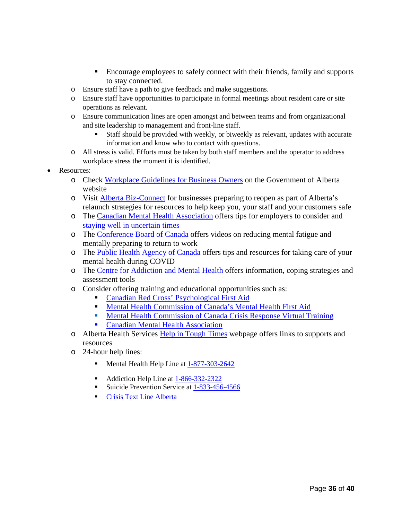- Encourage employees to safely connect with their friends, family and supports to stay connected.
- o Ensure staff have a path to give feedback and make suggestions.
- o Ensure staff have opportunities to participate in formal meetings about resident care or site operations as relevant.
- o Ensure communication lines are open amongst and between teams and from organizational and site leadership to management and front-line staff.
	- Staff should be provided with weekly, or biweekly as relevant, updates with accurate information and know who to contact with questions.
- o All stress is valid. Efforts must be taken by both staff members and the operator to address workplace stress the moment it is identified.
- Resources:
	- o Check [Workplace Guidelines for Business Owners](https://www.alberta.ca/assets/documents/covid-19-workplace-guidance-for-business-owners.pdf) on the Government of Alberta website
	- o Visit [Alberta Biz-Connect](https://www.alberta.ca/biz-connect.aspx) for businesses preparing to reopen as part of Alberta's relaunch strategies for resources to help keep you, your staff and your customers safe
	- o The [Canadian Mental Health Association](https://cmha.ca/news/6-tips-to-respond-to-employee-anxiety-about-covid-19) offers tips for employers to consider and [staying well in uncertain times](https://cmha.bc.ca/covid-19/#tool-section)
	- o The [Conference Board of Canada](https://www.conferenceboard.ca/(X(1)S(fpmkfb3wzguu3otdbakrv2gd))/insights/covid-19?AspxAutoDetectCookieSupport=1#videos) offers videos on reducing mental fatigue and mentally preparing to return to work
	- o The [Public Health Agency of Canada](https://www.canada.ca/en/public-health/services/diseases/2019-novel-coronavirus-infection/mental-health.html) offers tips and resources for taking care of your mental health during COVID
	- o The [Centre for Addiction and Mental Health](https://www.camh.ca/en/health-info/mental-health-and-covid-19#quarantine) offers information, coping strategies and assessment tools
	- o Consider offering training and educational opportunities such as:
		- [Canadian Red Cross' Psychological First Aid](https://www.redcross.ca/training-and-certification/course-descriptions/psychological-first-aid/psychological-first-aid?gclid=EAIaIQobChMIiaCGyMix6QIVUCCtBh3R5AgdEAAYAyAAEgLiEvD_BwE)
		- **[Mental Health Commission of Canada's Mental Health First Aid](https://www.mhfa.ca/)**
		- [Mental Health Commission of Canada Crisis Response Virtual Training](https://theworkingmind.ca/crisis-response-virtual-training)
		- **[Canadian Mental Health Association](hhttps://alberta.cmha.ca/programs-services/mental-health-and-the-workplace/)**
	- o Alberta Health Services [Help in Tough Times](https://www.albertahealthservices.ca/amh/Page16759.aspx) webpage offers links to supports and resources
	- o 24-hour help lines:
		- Mental Health Help Line at  $1-877-303-2642$
		- Addiction Help Line at  $1-866-332-2322$
		- Suicide Prevention Service at [1-833-456-4566](https://www.crisisservicescanada.ca/en/)
		- **[Crisis Text Line Alberta](https://www.crisistextline.org/)**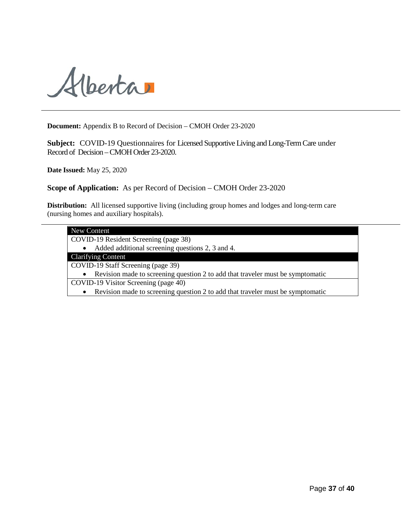

**Document:** Appendix B to Record of Decision – CMOH Order 23-2020

**Subject:** COVID-19 Questionnaires for Licensed Supportive Living and Long-Term Care under Record of Decision –CMOH Order 23-2020.

**Date Issued:** May 25, 2020

**Scope of Application:** As per Record of Decision – CMOH Order 23-2020

**Distribution:** All licensed supportive living (including group homes and lodges and long-term care (nursing homes and auxiliary hospitals).

<span id="page-36-0"></span>

| <b>New Content</b>                                                                          |
|---------------------------------------------------------------------------------------------|
| COVID-19 Resident Screening (page 38)                                                       |
| Added additional screening questions 2, 3 and 4.<br>$\bullet$                               |
| <b>Clarifying Content</b>                                                                   |
| COVID-19 Staff Screening (page 39)                                                          |
| Revision made to screening question 2 to add that traveler must be symptomatic<br>$\bullet$ |
| COVID-19 Visitor Screening (page 40)                                                        |
| Revision made to screening question 2 to add that traveler must be symptomatic              |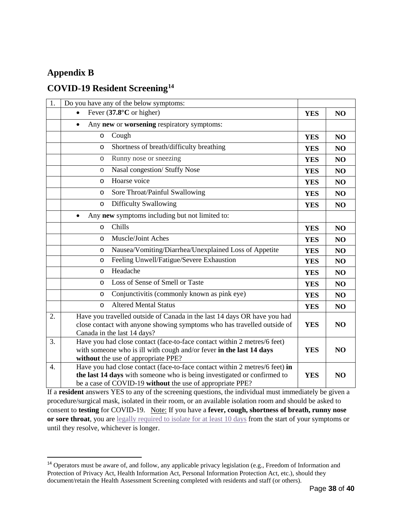# <span id="page-37-0"></span>**Appendix B**

 $\ddot{\phantom{a}}$ 

# <span id="page-37-1"></span>**COVID-19 Resident Screening[14](#page-37-2)**

| 1.               | Do you have any of the below symptoms:                                                                                                                                                                              |            |                |
|------------------|---------------------------------------------------------------------------------------------------------------------------------------------------------------------------------------------------------------------|------------|----------------|
|                  | Fever $(37.8^{\circ}C \text{ or higher})$                                                                                                                                                                           | <b>YES</b> | N <sub>O</sub> |
|                  | Any new or worsening respiratory symptoms:<br>$\bullet$                                                                                                                                                             |            |                |
|                  | Cough<br>O                                                                                                                                                                                                          | <b>YES</b> | NO             |
|                  | Shortness of breath/difficulty breathing<br>O                                                                                                                                                                       | <b>YES</b> | N <sub>O</sub> |
|                  | Runny nose or sneezing<br>$\circ$                                                                                                                                                                                   | <b>YES</b> | N <sub>O</sub> |
|                  | Nasal congestion/ Stuffy Nose<br>$\circ$                                                                                                                                                                            | <b>YES</b> | N <sub>O</sub> |
|                  | Hoarse voice<br>O                                                                                                                                                                                                   | <b>YES</b> | N <sub>O</sub> |
|                  | Sore Throat/Painful Swallowing<br>O                                                                                                                                                                                 | <b>YES</b> | NO             |
|                  | <b>Difficulty Swallowing</b><br>$\circ$                                                                                                                                                                             | <b>YES</b> | NO             |
|                  | Any new symptoms including but not limited to:<br>$\bullet$                                                                                                                                                         |            |                |
|                  | Chills<br>$\circ$                                                                                                                                                                                                   | <b>YES</b> | N <sub>O</sub> |
|                  | Muscle/Joint Aches<br>O                                                                                                                                                                                             | <b>YES</b> | N <sub>O</sub> |
|                  | Nausea/Vomiting/Diarrhea/Unexplained Loss of Appetite<br>O                                                                                                                                                          | <b>YES</b> | NO             |
|                  | Feeling Unwell/Fatigue/Severe Exhaustion<br>O                                                                                                                                                                       | <b>YES</b> | NO             |
|                  | Headache<br>O                                                                                                                                                                                                       | <b>YES</b> | N <sub>O</sub> |
|                  | Loss of Sense of Smell or Taste<br>$\circ$                                                                                                                                                                          | <b>YES</b> | N <sub>O</sub> |
|                  | Conjunctivitis (commonly known as pink eye)<br>O                                                                                                                                                                    | <b>YES</b> | N <sub>O</sub> |
|                  | <b>Altered Mental Status</b><br>$\circ$                                                                                                                                                                             | <b>YES</b> | NO             |
| 2.               | Have you travelled outside of Canada in the last 14 days OR have you had<br>close contact with anyone showing symptoms who has travelled outside of<br>Canada in the last 14 days?                                  | <b>YES</b> | NO             |
| 3.               | Have you had close contact (face-to-face contact within 2 metres/6 feet)<br>with someone who is ill with cough and/or fever in the last 14 days<br>without the use of appropriate PPE?                              | <b>YES</b> | N <sub>O</sub> |
| $\overline{4}$ . | Have you had close contact (face-to-face contact within 2 metres/6 feet) in<br>the last 14 days with someone who is being investigated or confirmed to<br>be a case of COVID-19 without the use of appropriate PPE? | <b>YES</b> | N <sub>O</sub> |

If a **resident** answers YES to any of the screening questions, the individual must immediately be given a procedure/surgical mask, isolated in their room, or an available isolation room and should be asked to consent to **testing** for COVID-19. Note: If you have a **fever, cough, shortness of breath, runny nose or sore throat**, you are [legally required to isolate for at least 10 days](https://www.alberta.ca/isolation.aspx) from the start of your symptoms or until they resolve, whichever is longer.

<span id="page-37-2"></span><sup>&</sup>lt;sup>14</sup> Operators must be aware of, and follow, any applicable privacy legislation (e.g., Freedom of Information and Protection of Privacy Act, Health Information Act, Personal Information Protection Act, etc.), should they document/retain the Health Assessment Screening completed with residents and staff (or others).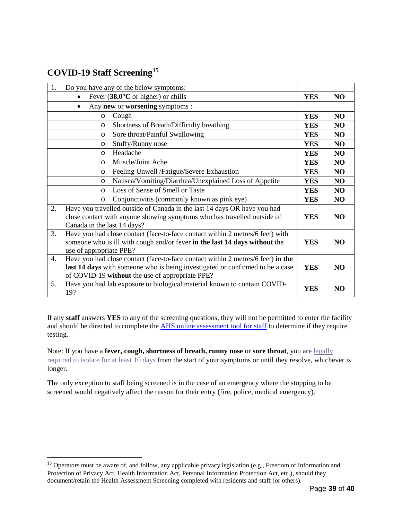# <span id="page-38-0"></span>**COVID-19 Staff Screening[15](#page-38-1)**

 $\ddot{\phantom{a}}$ 

| 1. | Do you have any of the below symptoms:                                          |            |                |
|----|---------------------------------------------------------------------------------|------------|----------------|
|    | Fever $(38.0^{\circ}C \text{ or higher})$ or chills                             | <b>YES</b> | NO             |
|    | Any new or worsening symptoms :<br>$\bullet$                                    |            |                |
|    | Cough<br>$\circ$                                                                | <b>YES</b> | NO             |
|    | Shortness of Breath/Difficulty breathing<br>$\circ$                             | <b>YES</b> | NO             |
|    | Sore throat/Painful Swallowing<br>$\circ$                                       | <b>YES</b> | NO             |
|    | Stuffy/Runny nose<br>$\circ$                                                    | <b>YES</b> | NO             |
|    | Headache<br>$\circ$                                                             | <b>YES</b> | N <sub>O</sub> |
|    | Muscle/Joint Ache<br>$\circ$                                                    | <b>YES</b> | <b>NO</b>      |
|    | Feeling Unwell /Fatigue/Severe Exhaustion<br>$\circ$                            | <b>YES</b> | NO             |
|    | Nausea/Vomiting/Diarrhea/Unexplained Loss of Appetite<br>$\circ$                | <b>YES</b> | NO             |
|    | Loss of Sense of Smell or Taste<br>$\circ$                                      | <b>YES</b> | NO             |
|    | Conjunctivitis (commonly known as pink eye)<br>$\circ$                          | <b>YES</b> | N <sub>O</sub> |
| 2. | Have you travelled outside of Canada in the last 14 days OR have you had        |            |                |
|    | close contact with anyone showing symptoms who has travelled outside of         | <b>YES</b> | NO             |
|    | Canada in the last 14 days?                                                     |            |                |
| 3. | Have you had close contact (face-to-face contact within 2 metres/6 feet) with   |            |                |
|    | someone who is ill with cough and/or fever in the last 14 days without the      | <b>YES</b> | NO             |
|    | use of appropriate PPE?                                                         |            |                |
| 4. | Have you had close contact (face-to-face contact within 2 metres/6 feet) in the |            |                |
|    | last 14 days with someone who is being investigated or confirmed to be a case   | <b>YES</b> | NO.            |
|    | of COVID-19 without the use of appropriate PPE?                                 |            |                |
| 5. | Have you had lab exposure to biological material known to contain COVID-        | <b>YES</b> | N <sub>O</sub> |
|    | 19?                                                                             |            |                |

If any **staff** answers **YES** to any of the screening questions, they will not be permitted to enter the facility and should be directed to complete the [AHS online assessment tool](https://myhealth.alberta.ca/Journey/COVID-19/Pages/HWAssessLanding.aspx) for staff to determine if they require testing.

Note: If you have a **fever, cough, shortness of breath, runny nose** or **sore throat**, you are legally [required to isolate for at least 10 days](https://www.alberta.ca/isolation.aspx) from the start of your symptoms or until they resolve, whichever is longer.

The only exception to staff being screened is in the case of an emergency where the stopping to be screened would negatively affect the reason for their entry (fire, police, medical emergency).

<span id="page-38-1"></span><sup>&</sup>lt;sup>15</sup> Operators must be aware of, and follow, any applicable privacy legislation (e.g., Freedom of Information and Protection of Privacy Act, Health Information Act, Personal Information Protection Act, etc.), should they document/retain the Health Assessment Screening completed with residents and staff (or others).